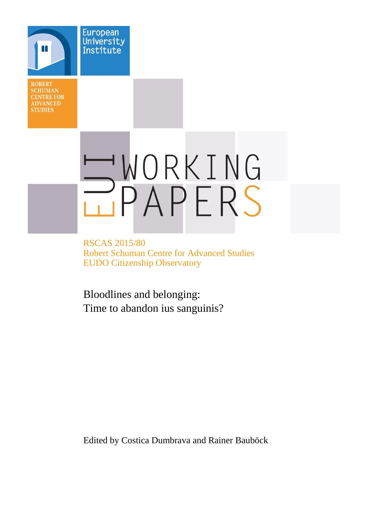**ROBERT SCHUMAN CENTRE FOR ADVANCED STUDIES** 

**European** University Institute

# WORKING

RSCAS 2015/80 Robert Schuman Centre for Advanced Studies EUDO Citizenship Observatory

Bloodlines and belonging: Time to abandon ius sanguinis?

Edited by Costica Dumbrava and Rainer Bauböck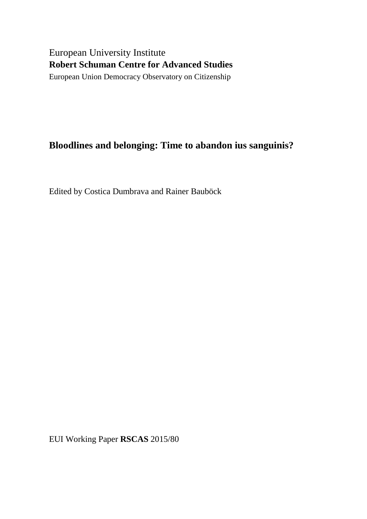# European University Institute **Robert Schuman Centre for Advanced Studies**

European Union Democracy Observatory on Citizenship

# **Bloodlines and belonging: Time to abandon ius sanguinis?**

Edited by Costica Dumbrava and Rainer Bauböck

EUI Working Paper **RSCAS** 2015/80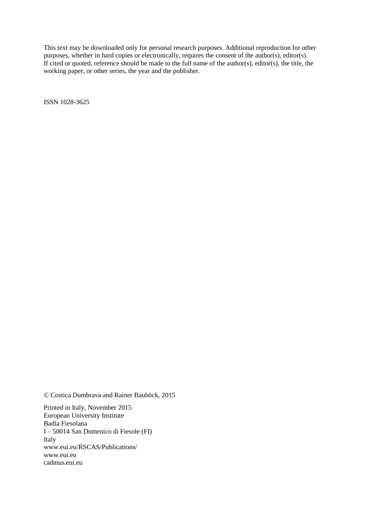This text may be downloaded only for personal research purposes. Additional reproduction for other purposes, whether in hard copies or electronically, requires the consent of the author(s), editor(s). If cited or quoted, reference should be made to the full name of the author(s), editor(s), the title, the working paper, or other series, the year and the publisher.

ISSN 1028-3625

© Costica Dumbrava and Rainer Bauböck, 2015

Printed in Italy, November 2015 European University Institute Badia Fiesolana I – 50014 San Domenico di Fiesole (FI) Italy [www.eui.eu/RSCAS/Publications/](http://www.eui.eu/RSCAS/Publications/) [www.eui.eu](http://www.eui.eu/) [cadmus.eui.eu](http://cadmus.eui.eu/dspace/index.jsp)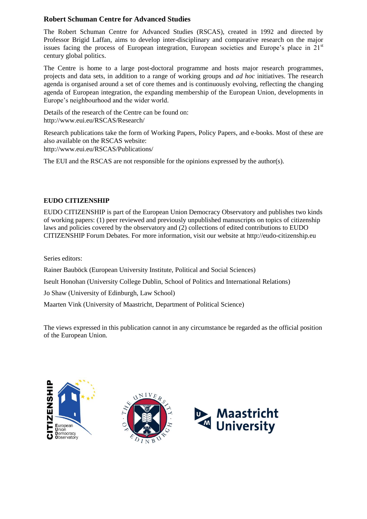# **Robert Schuman Centre for Advanced Studies**

The Robert Schuman Centre for Advanced Studies (RSCAS), created in 1992 and directed by Professor Brigid Laffan, aims to develop inter-disciplinary and comparative research on the major issues facing the process of European integration, European societies and Europe's place in  $21<sup>st</sup>$ century global politics.

The Centre is home to a large post-doctoral programme and hosts major research programmes, projects and data sets, in addition to a range of working groups and *ad hoc* initiatives. The research agenda is organised around a set of core themes and is continuously evolving, reflecting the changing agenda of European integration, the expanding membership of the European Union, developments in Europe's neighbourhood and the wider world.

Details of the research of the Centre can be found on: <http://www.eui.eu/RSCAS/Research/>

Research publications take the form of Working Papers, Policy Papers, and e-books. Most of these are also available on the RSCAS website: <http://www.eui.eu/RSCAS/Publications/>

The EUI and the RSCAS are not responsible for the opinions expressed by the author(s).

# **EUDO CITIZENSHIP**

EUDO CITIZENSHIP is part of the European Union Democracy Observatory and publishes two kinds of working papers: (1) peer reviewed and previously unpublished manuscripts on topics of citizenship laws and policies covered by the observatory and (2) collections of edited contributions to EUDO CITIZENSHIP Forum Debates. For more information, visit our website at [http://eudo-citizenship.eu](http://eudo-citizenship.eu/)

Series editors:

Rainer Bauböck (European University Institute, Political and Social Sciences)

Iseult Honohan (University College Dublin, School of Politics and International Relations)

Jo Shaw (University of Edinburgh, Law School)

Maarten Vink (University of Maastricht, Department of Political Science)

The views expressed in this publication cannot in any circumstance be regarded as the official position of the European Union.





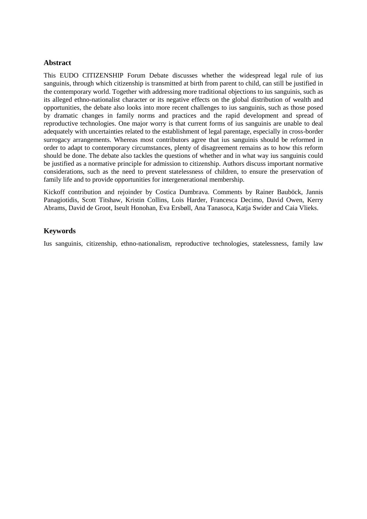#### **Abstract**

This EUDO CITIZENSHIP Forum Debate discusses whether the widespread legal rule of ius sanguinis, through which citizenship is transmitted at birth from parent to child, can still be justified in the contemporary world. Together with addressing more traditional objections to ius sanguinis, such as its alleged ethno-nationalist character or its negative effects on the global distribution of wealth and opportunities, the debate also looks into more recent challenges to ius sanguinis, such as those posed by dramatic changes in family norms and practices and the rapid development and spread of reproductive technologies. One major worry is that current forms of ius sanguinis are unable to deal adequately with uncertainties related to the establishment of legal parentage, especially in cross-border surrogacy arrangements. Whereas most contributors agree that ius sanguinis should be reformed in order to adapt to contemporary circumstances, plenty of disagreement remains as to how this reform should be done. The debate also tackles the questions of whether and in what way ius sanguinis could be justified as a normative principle for admission to citizenship. Authors discuss important normative considerations, such as the need to prevent statelessness of children, to ensure the preservation of family life and to provide opportunities for intergenerational membership.

Kickoff contribution and rejoinder by Costica Dumbrava. Comments by Rainer Bauböck, Jannis Panagiotidis, Scott Titshaw, Kristin Collins, Lois Harder, Francesca Decimo, David Owen, Kerry Abrams, David de Groot, Iseult Honohan, Eva Ersbøll, Ana Tanasoca, Katja Swider and Caia Vlieks.

# **Keywords**

Ius sanguinis, citizenship, ethno-nationalism, reproductive technologies, statelessness, family law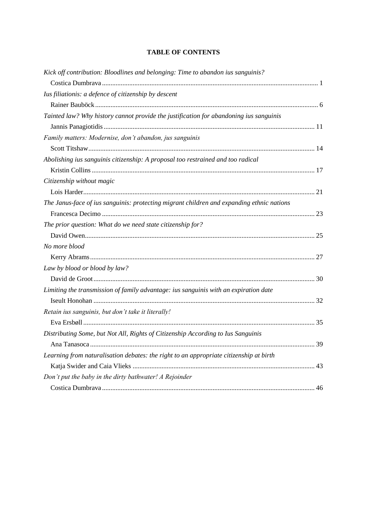# **TABLE OF CONTENTS**

| . 39 |
|------|
|      |
|      |
|      |
|      |
|      |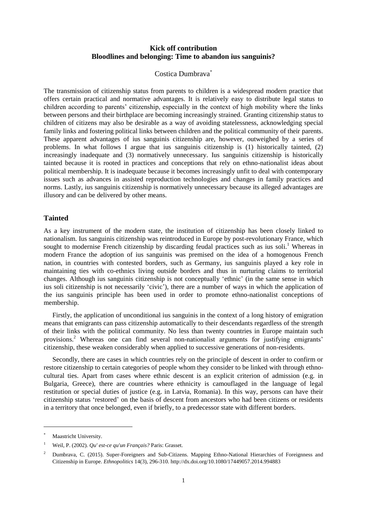# **Kick off contribution Bloodlines and belonging: Time to abandon ius sanguinis?**

# [Costica Dumbrava](http://eudo-citizenship.eu/about/people/country-experts/573-dumbrava-costica)\*

<span id="page-8-2"></span><span id="page-8-1"></span><span id="page-8-0"></span>The transmission of citizenship status from parents to children is a widespread modern practice that offers certain practical and normative advantages. It is relatively easy to distribute legal status to children according to parents' citizenship, especially in the context of high mobility where the links between persons and their birthplace are becoming increasingly strained. Granting citizenship status to children of citizens may also be desirable as a way of avoiding statelessness, acknowledging special family links and fostering political links between children and the political community of their parents. These apparent advantages of ius sanguinis citizenship are, however, outweighed by a series of problems. In what follows I argue that ius sanguinis citizenship is (1) historically tainted, (2) increasingly inadequate and (3) normatively unnecessary. Ius sanguinis citizenship is historically tainted because it is rooted in practices and conceptions that rely on ethno-nationalist ideas about political membership. It is inadequate because it becomes increasingly unfit to deal with contemporary issues such as advances in assisted reproduction technologies and changes in family practices and norms. Lastly, ius sanguinis citizenship is normatively unnecessary because its alleged advantages are illusory and can be delivered by other means.

#### **Tainted**

As a key instrument of the modern state, the institution of citizenship has been closely linked to nationalism. Ius sanguinis citizenship was reintroduced in Europe by post-revolutionary France, which sought to modernise French citizenship by discarding feudal practices such as ius soli.<sup>1</sup> Whereas in modern France the adoption of ius sanguinis was premised on the idea of a homogenous French nation, in countries with contested borders, such as Germany, ius sanguinis played a key role in maintaining ties with co-ethnics living outside borders and thus in nurturing claims to territorial changes. Although ius sanguinis citizenship is not conceptually 'ethnic' (in the same sense in which ius soli citizenship is not necessarily 'civic'), there are a number of ways in which the application of the ius sanguinis principle has been used in order to promote ethno-nationalist conceptions of membership.

Firstly, the application of unconditional ius sanguinis in the context of a long history of emigration means that emigrants can pass citizenship automatically to their descendants regardless of the strength of their links with the political community. No less than twenty countries in Europe maintain such provisions.<sup>2</sup> Whereas one can find several non-nationalist arguments for justifying emigrants' citizenship, these weaken considerably when applied to successive generations of non-residents.

Secondly, there are cases in which countries rely on the principle of descent in order to confirm or restore citizenship to certain categories of people whom they consider to be linked with through ethnocultural ties. Apart from cases where ethnic descent is an explicit criterion of admission (e.g. in Bulgaria, Greece), there are countries where ethnicity is camouflaged in the language of legal restitution or special duties of justice (e.g. in Latvia, Romania). In this way, persons can have their citizenship status 'restored' on the basis of descent from ancestors who had been citizens or residents in a territory that once belonged, even if briefly, to a predecessor state with different borders.

Maastricht University.

<sup>1</sup> Weil, P. (2002). *Qu' est-ce qu'un Français?* Paris: Grasset.

<sup>2</sup> Dumbrava, C. (2015). Super-Foreigners and Sub-Citizens. Mapping Ethno-National Hierarchies of Foreignness and Citizenship in Europe. *Ethnopolitics* 14(3), 296-310.<http://dx.doi.org/10.1080/17449057.2014.994883>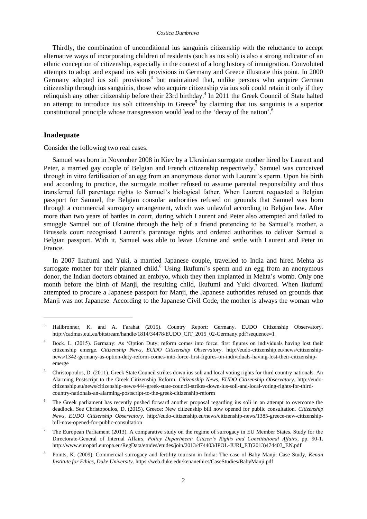#### *Costica Dumbrava*

Thirdly, the combination of unconditional ius sanguinis citizenship with the reluctance to accept alternative ways of incorporating children of residents (such as ius soli) is also a strong indicator of an ethnic conception of citizenship, especially in the context of a long history of immigration. Convoluted attempts to adopt and expand ius soli provisions in Germany and Greece illustrate this point. In 2000 Germany adopted ius soli provisions<sup>3</sup> but maintained that, unlike persons who acquire German citizenship through ius sanguinis, those who acquire citizenship via ius soli could retain it only if they relinquish any other citizenship before their 23rd birthday.<sup>4</sup> In 2011 the Greek Council of State halted an attempt to introduce ius soli citizenship in Greece<sup>5</sup> by claiming that ius sanguinis is a superior constitutional principle whose transgression would lead to the 'decay of the nation'.<sup>6</sup>

#### **Inadequate**

l

Consider the following two real cases.

Samuel was born in November 2008 in Kiev by a Ukrainian surrogate mother hired by Laurent and Peter, a married gay couple of Belgian and French citizenship respectively.<sup>7</sup> Samuel was conceived through in vitro fertilisation of an egg from an anonymous donor with Laurent's sperm. Upon his birth and according to practice, the surrogate mother refused to assume parental responsibility and thus transferred full parentage rights to Samuel's biological father. When Laurent requested a Belgian passport for Samuel, the Belgian consular authorities refused on grounds that Samuel was born through a commercial surrogacy arrangement, which was unlawful according to Belgian law. After more than two years of battles in court, during which Laurent and Peter also attempted and failed to smuggle Samuel out of Ukraine through the help of a friend pretending to be Samuel's mother, a Brussels court recognised Laurent's parentage rights and ordered authorities to deliver Samuel a Belgian passport. With it, Samuel was able to leave Ukraine and settle with Laurent and Peter in France.

In 2007 Ikufumi and Yuki, a married Japanese couple, travelled to India and hired Mehta as surrogate mother for their planned child.<sup>8</sup> Using Ikufumi's sperm and an egg from an anonymous donor, the Indian doctors obtained an embryo, which they then implanted in Mehta's womb. Only one month before the birth of Manji, the resulting child, Ikufumi and Yuki divorced. When Ikufumi attempted to procure a Japanese passport for Manji, the Japanese authorities refused on grounds that Manji was not Japanese. According to the Japanese Civil Code, the mother is always the woman who

<sup>3</sup> Hailbronner, K. and A. Farahat (2015). Country Report: Germany. EUDO Citizenship Observatory. [http://cadmus.eui.eu/bitstream/handle/1814/34478/EUDO\\_CIT\\_2015\\_02-Germany.pdf?sequence=1](http://cadmus.eui.eu/bitstream/handle/1814/34478/EUDO_CIT_2015_02-Germany.pdf?sequence=1)

Bock, L. (2015). Germany: As 'Option Duty; reform comes into force, first figures on individuals having lost their citizenship emerge. *Citizenship News, EUDO Citizenship Observatory*. [http://eudo-citizenship.eu/news/citizenship](http://eudo-citizenship.eu/news/citizenship-news/1342-germany-as-option-duty-reform-comes-into-force-first-figures-on-individuals-having-lost-their-citizenship-emerge)[news/1342-germany-as-option-duty-reform-comes-into-force-first-figures-on-individuals-having-lost-their-citizenship](http://eudo-citizenship.eu/news/citizenship-news/1342-germany-as-option-duty-reform-comes-into-force-first-figures-on-individuals-having-lost-their-citizenship-emerge)[emerge](http://eudo-citizenship.eu/news/citizenship-news/1342-germany-as-option-duty-reform-comes-into-force-first-figures-on-individuals-having-lost-their-citizenship-emerge)

<sup>5</sup> Christopoulos, D. (2011). Greek State Council strikes down ius soli and local voting rights for third country nationals. An Alarming Postscript to the Greek Citizenship Reform. *Citizenship News, EUDO Citizenship Observatory*. [http://eudo](http://eudo-citizenship.eu/news/citizenship-news/444-greek-state-council-strikes-down-ius-soli-and-local-voting-rights-for-third-country-nationals-an-alarming-postscript-to-the-greek-citizenship-reform)[citizenship.eu/news/citizenship-news/444-greek-state-council-strikes-down-ius-soli-and-local-voting-rights-for-third](http://eudo-citizenship.eu/news/citizenship-news/444-greek-state-council-strikes-down-ius-soli-and-local-voting-rights-for-third-country-nationals-an-alarming-postscript-to-the-greek-citizenship-reform)[country-nationals-an-alarming-postscript-to-the-greek-citizenship-reform](http://eudo-citizenship.eu/news/citizenship-news/444-greek-state-council-strikes-down-ius-soli-and-local-voting-rights-for-third-country-nationals-an-alarming-postscript-to-the-greek-citizenship-reform)

<sup>6</sup> The Greek parliament has recently pushed forward another proposal regarding ius soli in an attempt to overcome the deadlock. See Christopoulos, D. (2015). Greece: New citizenship bill now opened for public consultation. *Citizenship News, EUDO Citizenship Observatory*. [http://eudo-citizenship.eu/news/citizenship-news/1385-greece-new-citizenship](http://eudo-citizenship.eu/news/citizenship-news/1385-greece-new-citizenship-bill-now-opened-for-public-consultation)[bill-now-opened-for-public-consultation](http://eudo-citizenship.eu/news/citizenship-news/1385-greece-new-citizenship-bill-now-opened-for-public-consultation)

<sup>7</sup> The European Parliament (2013). A comparative study on the regime of surrogacy in EU Member States. Study for the Directorate-General of Internal Affairs, *Policy Department: Citizen's Rights and Constitutional Affairs*, pp. 90-1. [http://www.europarl.europa.eu/RegData/etudes/etudes/join/2013/474403/IPOL-JURI\\_ET\(2013\)474403\\_EN.pdf](http://www.europarl.europa.eu/RegData/etudes/etudes/join/2013/474403/IPOL-JURI_ET(2013)474403_EN.pdf)

<sup>8</sup> Points, K. (2009). Commercial surrogacy and fertility tourism in India: The case of Baby Manji. Case Study, *Kenan Institute for Ethics, Duke University*.<https://web.duke.edu/kenanethics/CaseStudies/BabyManji.pdf>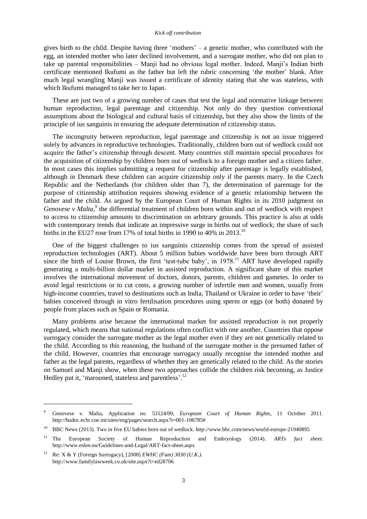gives birth to the child. Despite having three 'mothers' – a genetic mother, who contributed with the egg, an intended mother who later declined involvement, and a surrogate mother, who did not plan to take up parental responsibilities – Manji had no obvious legal mother. Indeed, Manji's Indian birth certificate mentioned Ikufumi as the father but left the rubric concerning 'the mother' blank. After much legal wrangling Manji was issued a certificate of identity stating that she was stateless, with which Ikufumi managed to take her to Japan.

These are just two of a growing number of cases that test the legal and normative linkage between human reproduction, legal parentage and citizenship. Not only do they question conventional assumptions about the biological and cultural basis of citizenship, but they also show the limits of the principle of ius sanguinis in ensuring the adequate determination of citizenship status.

The incongruity between reproduction, legal parentage and citizenship is not an issue triggered solely by advances in reproductive technologies. Traditionally, children born out of wedlock could not acquire the father's citizenship through descent. Many countries still maintain special procedures for the acquisition of citizenship by children born out of wedlock to a foreign mother and a citizen father. In most cases this implies submitting a request for citizenship after parentage is legally established, although in Denmark these children can acquire citizenship only if the parents marry. In the Czech Republic and the Netherlands (for children older than 7), the determination of parentage for the purpose of citizenship attribution requires showing evidence of a genetic relationship between the father and the child. As argued by the European Court of Human Rights in its 2010 judgment on Genovese v Malta,<sup>9</sup> the differential treatment of children born within and out of wedlock with respect to access to citizenship amounts to discrimination on arbitrary grounds. This practice is also at odds with contemporary trends that indicate an impressive surge in births out of wedlock; the share of such births in the EU27 rose from 17% of total births in 1990 to 40% in 2013.<sup>10</sup>

One of the biggest challenges to ius sanguinis citizenship comes from the spread of assisted reproduction technologies (ART). About 5 million babies worldwide have been born through ART since the birth of Louise Brown, the first 'test-tube baby', in  $1978$ .<sup>11</sup> ART have developed rapidly generating a multi-billion dollar market in assisted reproduction. A significant share of this market involves the international movement of doctors, donors, parents, children and gametes. In order to avoid legal restrictions or to cut costs, a growing number of infertile men and women, usually from high-income countries, travel to destinations such as India, Thailand or Ukraine in order to have 'their' babies conceived through in vitro fertilisation procedures using sperm or eggs (or both) donated by people from places such as Spain or Romania.

Many problems arise because the international market for assisted reproduction is not properly regulated, which means that national regulations often conflict with one another. Countries that oppose surrogacy consider the surrogate mother as the legal mother even if they are not genetically related to the child. According to this reasoning, the husband of the surrogate mother is the presumed father of the child. However, countries that encourage surrogacy usually recognise the intended mother and father as the legal parents, regardless of whether they are genetically related to the child. As the stories on Samuel and Manji show, when these two approaches collide the children risk becoming, as Justice Hedley put it, 'marooned, stateless and parentless'.<sup>12</sup>

<sup>9</sup> Genovese v. Malta, Application no. 53124/09, *European Court of Human Rights*, 11 October 2011. [http://hudoc.echr.coe.int/sites/eng/pages/search.aspx?i=001-106785#](http://hudoc.echr.coe.int/sites/eng/pages/search.aspx?i=001-106785)

<sup>&</sup>lt;sup>10</sup> BBC News (2013). Two in five EU babies born out of wedlock[. http://www.bbc.com/news/world-europe-21940895](http://www.bbc.com/news/world-europe-21940895)

<sup>11</sup> The European Society of Human Reproduction and Embryology (2014). *ARTs fact sheet*. <http://www.eshre.eu/Guidelines-and-Legal/ART-fact-sheet.aspx>

<sup>12</sup> Re: X & Y (Foreign Surrogacy), [2008] *EWHC (Fam) 3030 (U.K.)*. <http://www.familylawweek.co.uk/site.aspx?i=ed28706>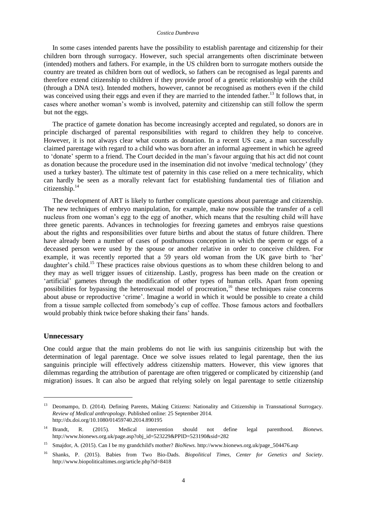#### *Costica Dumbrava*

In some cases intended parents have the possibility to establish parentage and citizenship for their children born through surrogacy. However, such special arrangements often discriminate between (intended) mothers and fathers. For example, in the US children born to surrogate mothers outside the country are treated as children born out of wedlock, so fathers can be recognised as legal parents and therefore extend citizenship to children if they provide proof of a genetic relationship with the child (through a DNA test). Intended mothers, however, cannot be recognised as mothers even if the child was conceived using their eggs and even if they are married to the intended father.<sup>13</sup> It follows that, in cases where another woman's womb is involved, paternity and citizenship can still follow the sperm but not the eggs.

The practice of gamete donation has become increasingly accepted and regulated, so donors are in principle discharged of parental responsibilities with regard to children they help to conceive. However, it is not always clear what counts as donation. In a recent US case, a man successfully claimed parentage with regard to a child who was born after an informal agreement in which he agreed to 'donate' sperm to a friend. The Court decided in the man's favour arguing that his act did not count as donation because the procedure used in the insemination did not involve 'medical technology' (they used a turkey baster). The ultimate test of paternity in this case relied on a mere technicality, which can hardly be seen as a morally relevant fact for establishing fundamental ties of filiation and citizenship.<sup>14</sup>

The development of ART is likely to further complicate questions about parentage and citizenship. The new techniques of embryo manipulation, for example, make now possible the transfer of a cell nucleus from one woman's egg to the egg of another, which means that the resulting child will have three genetic parents. Advances in technologies for freezing gametes and embryos raise questions about the rights and responsibilities over future births and about the status of future children. There have already been a number of cases of posthumous conception in which the sperm or eggs of a deceased person were used by the spouse or another relative in order to conceive children. For example, it was recently reported that a 59 years old woman from the UK gave birth to 'her' daughter's child.<sup>15</sup> These practices raise obvious questions as to whom these children belong to and they may as well trigger issues of citizenship. Lastly, progress has been made on the creation or 'artificial' gametes through the modification of other types of human cells. Apart from opening possibilities for bypassing the heterosexual model of procreation, <sup>16</sup> these techniques raise concerns about abuse or reproductive 'crime'. Imagine a world in which it would be possible to create a child from a tissue sample collected from somebody's cup of coffee. Those famous actors and footballers would probably think twice before shaking their fans' hands.

#### **Unnecessary**

l

One could argue that the main problems do not lie with ius sanguinis citizenship but with the determination of legal parentage. Once we solve issues related to legal parentage, then the ius sanguinis principle will effectively address citizenship matters. However, this view ignores that dilemmas regarding the attribution of parentage are often triggered or complicated by citizenship (and migration) issues. It can also be argued that relying solely on legal parentage to settle citizenship

<sup>&</sup>lt;sup>13</sup> Deomampo, D. (2014). Defining Parents, Making Citizens: Nationality and Citizenship in Transnational Surrogacy. *Review of Medical anthropology*. Published online: 25 September 2014. <http://dx.doi.org/10.1080/01459740.2014.890195>

<sup>14</sup> Brandt, R. (2015). Medical intervention should not define legal parenthood. *Bionews*. [http://www.bionews.org.uk/page.asp?obj\\_id=523229&PPID=523190&sid=282](http://www.bionews.org.uk/page.asp?obj_id=523229&PPID=523190&sid=282)

<sup>15</sup> Smajdor, A. (2015). Can I be my grandchild's mother? *BioNews.* [http://www.bionews.org.uk/page\\_504476.asp](http://www.bionews.org.uk/page_504476.asp)

<sup>16</sup> Shanks, P. (2015). Babies from Two Bio-Dads. *Biopolitical Times, Center for Genetics and Society*. <http://www.biopoliticaltimes.org/article.php?id=8418>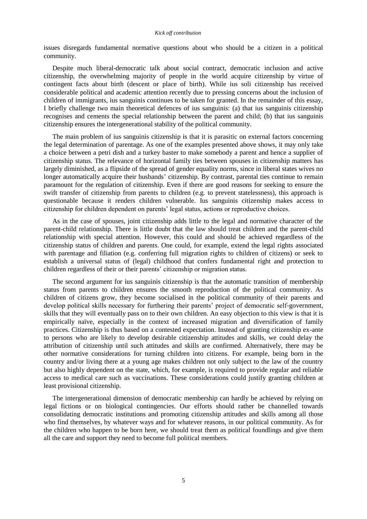issues disregards fundamental normative questions about who should be a citizen in a political community.

Despite much liberal-democratic talk about social contract, democratic inclusion and active citizenship, the overwhelming majority of people in the world acquire citizenship by virtue of contingent facts about birth (descent or place of birth). While ius soli citizenship has received considerable political and academic attention recently due to pressing concerns about the inclusion of children of immigrants, ius sanguinis continues to be taken for granted. In the remainder of this essay, I briefly challenge two main theoretical defences of ius sanguinis: (a) that ius sanguinis citizenship recognises and cements the special relationship between the parent and child; (b) that ius sanguinis citizenship ensures the intergenerational stability of the political community.

The main problem of ius sanguinis citizenship is that it is parasitic on external factors concerning the legal determination of parentage. As one of the examples presented above shows, it may only take a choice between a petri dish and a turkey baster to make somebody a parent and hence a supplier of citizenship status. The relevance of horizontal family ties between spouses in citizenship matters has largely diminished, as a flipside of the spread of gender equality norms, since in liberal states wives no longer automatically acquire their husbands' citizenship. By contrast, parental ties continue to remain paramount for the regulation of citizenship. Even if there are good reasons for seeking to ensure the swift transfer of citizenship from parents to children (e.g. to prevent statelessness), this approach is questionable because it renders children vulnerable. Ius sanguinis citizenship makes access to citizenship for children dependent on parents' legal status, actions or reproductive choices.

As in the case of spouses, joint citizenship adds little to the legal and normative character of the parent-child relationship. There is little doubt that the law should treat children and the parent-child relationship with special attention. However, this could and should be achieved regardless of the citizenship status of children and parents. One could, for example, extend the legal rights associated with parentage and filiation (e.g. conferring full migration rights to children of citizens) or seek to establish a universal status of (legal) childhood that confers fundamental right and protection to children regardless of their or their parents' citizenship or migration status.

The second argument for ius sanguinis citizenship is that the automatic transition of membership status from parents to children ensures the smooth reproduction of the political community. As children of citizens grow, they become socialised in the political community of their parents and develop political skills necessary for furthering their parents' project of democratic self-government, skills that they will eventually pass on to their own children. An easy objection to this view is that it is empirically naïve, especially in the context of increased migration and diversification of family practices. Citizenship is thus based on a contested expectation. Instead of granting citizenship ex-ante to persons who are likely to develop desirable citizenship attitudes and skills, we could delay the attribution of citizenship until such attitudes and skills are confirmed. Alternatively, there may be other normative considerations for turning children into citizens. For example, being born in the country and/or living there at a young age makes children not only subject to the law of the country but also highly dependent on the state, which, for example, is required to provide regular and reliable access to medical care such as vaccinations. These considerations could justify granting children at least provisional citizenship.

The intergenerational dimension of democratic membership can hardly be achieved by relying on legal fictions or on biological contingencies. Our efforts should rather be channelled towards consolidating democratic institutions and promoting citizenship attitudes and skills among all those who find themselves, by whatever ways and for whatever reasons, in our political community. As for the children who happen to be born here, we should treat them as political foundlings and give them all the care and support they need to become full political members.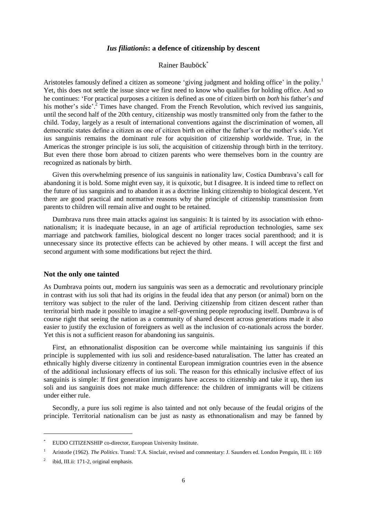#### *Ius filiationis***: a defence of citizenship by descent**

## [Rainer Bauböck](http://www.eui.eu/DepartmentsAndCentres/PoliticalAndSocialSciences/People/Professors/Bauboeck.aspx)\*

<span id="page-13-1"></span><span id="page-13-0"></span>Aristoteles famously defined a citizen as someone 'giving judgment and holding office' in the polity.<sup>1</sup> Yet, this does not settle the issue since we first need to know who qualifies for holding office. And so he continues: 'For practical purposes a citizen is defined as one of citizen birth on *both* his father's *and*  his mother's side<sup>'.2</sup> Times have changed. From the French Revolution, which revived ius sanguinis, until the second half of the 20th century, citizenship was mostly transmitted only from the father to the child. Today, largely as a result of international conventions against the discrimination of women, all democratic states define a citizen as one of citizen birth on either the father's or the mother's side. Yet ius sanguinis remains the dominant rule for acquisition of citizenship worldwide. True, in the Americas the stronger principle is ius soli, the acquisition of citizenship through birth in the territory. But even there those born abroad to citizen parents who were themselves born in the country are recognized as nationals by birth.

Given this overwhelming presence of ius sanguinis in nationality law, Costica Dumbrava's call for abandoning it is bold. Some might even say, it is quixotic, but I disagree. It is indeed time to reflect on the future of ius sanguinis and to abandon it as a doctrine linking citizenship to biological descent. Yet there are good practical and normative reasons why the principle of citizenship transmission from parents to children will remain alive and ought to be retained.

Dumbrava runs three main attacks against ius sanguinis: It is tainted by its association with ethnonationalism; it is inadequate because, in an age of artificial reproduction technologies, same sex marriage and patchwork families, biological descent no longer traces social parenthood; and it is unnecessary since its protective effects can be achieved by other means. I will accept the first and second argument with some modifications but reject the third.

#### **Not the only one tainted**

As Dumbrava points out, modern ius sanguinis was seen as a democratic and revolutionary principle in contrast with ius soli that had its origins in the feudal idea that any person (or animal) born on the territory was subject to the ruler of the land. Deriving citizenship from citizen descent rather than territorial birth made it possible to imagine a self-governing people reproducing itself. Dumbrava is of course right that seeing the nation as a community of shared descent across generations made it also easier to justify the exclusion of foreigners as well as the inclusion of co-nationals across the border. Yet this is not a sufficient reason for abandoning ius sanguinis.

First, an ethnonationalist disposition can be overcome while maintaining ius sanguinis if this principle is supplemented with ius soli and residence-based naturalisation. The latter has created an ethnically highly diverse citizenry in continental European immigration countries even in the absence of the additional inclusionary effects of ius soli. The reason for this ethnically inclusive effect of ius sanguinis is simple: If first generation immigrants have access to citizenship and take it up, then ius soli and ius sanguinis does not make much difference: the children of immigrants will be citizens under either rule.

Secondly, a pure ius soli regime is also tainted and not only because of the feudal origins of the principle. Territorial nationalism can be just as nasty as ethnonationalism and may be fanned by

<sup>\*</sup> EUDO CITIZENSHIP co-director, European University Institute.

<sup>&</sup>lt;sup>1</sup> Aristotle (1962). *The Politics*. Transl: T.A. Sinclair, revised and commentary: J. Saunders ed. London Penguin, III. i: 169

<sup>2</sup> ibid, III.ii: 171-2, original emphasis.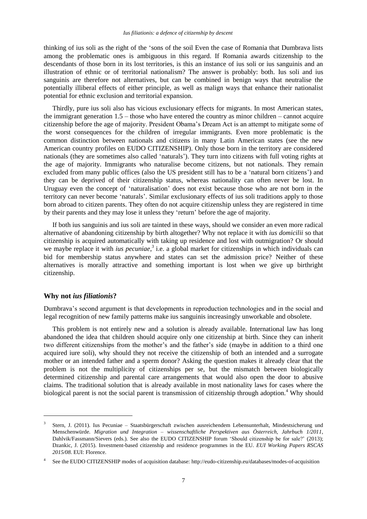thinking of ius soli as the right of the 'sons of the soil Even the case of Romania that Dumbrava lists among the problematic ones is ambiguous in this regard. If Romania awards citizenship to the descendants of those born in its lost territories, is this an instance of ius soli or ius sanguinis and an illustration of ethnic or of territorial nationalism? The answer is probably: both. Ius soli and ius sanguinis are therefore not alternatives, but can be combined in benign ways that neutralise the potentially illiberal effects of either principle, as well as malign ways that enhance their nationalist potential for ethnic exclusion and territorial expansion.

Thirdly, pure ius soli also has vicious exclusionary effects for migrants. In most American states, the immigrant generation 1.5 – those who have entered the country as minor children – cannot acquire citizenship before the age of majority. President Obama's Dream Act is an attempt to mitigate some of the worst consequences for the children of irregular immigrants. Even more problematic is the common distinction between nationals and citizens in many Latin American states (see the new American country profiles on EUDO CITIZENSHIP). Only those born in the territory are considered nationals (they are sometimes also called 'naturals'). They turn into citizens with full voting rights at the age of majority. Immigrants who naturalise become citizens, but not nationals. They remain excluded from many public offices (also the US president still has to be a 'natural born citizens') and they can be deprived of their citizenship status, whereas nationality can often never be lost. In Uruguay even the concept of 'naturalisation' does not exist because those who are not born in the territory can never become 'naturals'. Similar exclusionary effects of ius soli traditions apply to those born abroad to citizen parents. They often do not acquire citizenship unless they are registered in time by their parents and they may lose it unless they 'return' before the age of majority.

If both ius sanguinis and ius soli are tainted in these ways, should we consider an even more radical alternative of abandoning citizenship by birth altogether? Why not replace it with *ius domicilii* so that citizenship is acquired automatically with taking up residence and lost with outmigration? Or should we maybe replace it with *ius pecuniae*,<sup>3</sup> i.e. a global market for citizenships in which individuals can bid for membership status anywhere and states can set the admission price? Neither of these alternatives is morally attractive and something important is lost when we give up birthright citizenship.

#### **Why not** *ius filiationis***?**

l

Dumbrava's second argument is that developments in reproduction technologies and in the social and legal recognition of new family patterns make ius sanguinis increasingly unworkable and obsolete.

This problem is not entirely new and a solution is already available. International law has long abandoned the idea that children should acquire only one citizenship at birth. Since they can inherit two different citizenships from the mother's and the father's side (maybe in addition to a third one acquired iure soli), why should they not receive the citizenship of both an intended and a surrogate mother or an intended father and a sperm donor? Asking the question makes it already clear that the problem is not the multiplicity of citizenships per se, but the mismatch between biologically determined citizenship and parental care arrangements that would also open the door to abusive claims. The traditional solution that is already available in most nationality laws for cases where the biological parent is not the social parent is transmission of citizenship through adoption.<sup>4</sup> Why should

<sup>3</sup> Stern, J. (2011). Ius Pecuniae – Staatsbürgerschaft zwischen ausreichendem Lebensunterhalt, Mindestsicherung und Menschenwürde. *Migration und Integration – wissenschaftliche Perspektiven aus Österreich, Jahrbuch 1/2011*, Dahlvik/Fassmann/Sievers (eds.). See also the EUDO CITIZENSHIP forum ['Should citizenship be for sale?'](http://eudo-citizenship.eu/commentaries/citizenship-forum/990-should-citizenship-be-for-sale) (2013); Dzankic, J. (2015). Investment-based citizenship and residence programmes in the EU. *EUI Working Papers RSCAS 2015/08*. EUI: Florence.

<sup>4</sup> See the EUDO CITIZENSHIP modes of acquisition database[: http://eudo-citizenship.eu/databases/modes-of-acquisition](http://eudo-citizenship.eu/databases/modes-of-acquisition)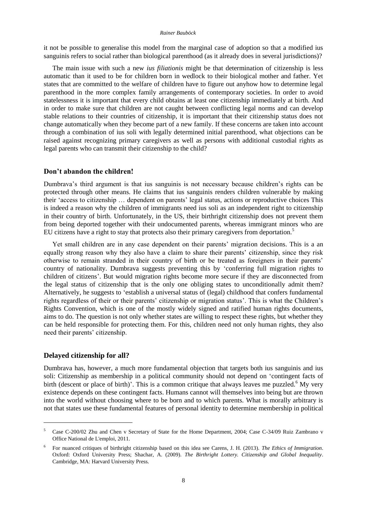#### *Rainer Bauböck*

it not be possible to generalise this model from the marginal case of adoption so that a modified ius sanguinis refers to social rather than biological parenthood (as it already does in several jurisdictions)?

The main issue with such a new *ius filiationis* might be that determination of citizenship is less automatic than it used to be for children born in wedlock to their biological mother and father. Yet states that are committed to the welfare of children have to figure out anyhow how to determine legal parenthood in the more complex family arrangements of contemporary societies. In order to avoid statelessness it is important that every child obtains at least one citizenship immediately at birth. And in order to make sure that children are not caught between conflicting legal norms and can develop stable relations to their countries of citizenship, it is important that their citizenship status does not change automatically when they become part of a new family. If these concerns are taken into account through a combination of ius soli with legally determined initial parenthood, what objections can be raised against recognizing primary caregivers as well as persons with additional custodial rights as legal parents who can transmit their citizenship to the child?

#### **Don't abandon the children!**

Dumbrava's third argument is that ius sanguinis is not necessary because children's rights can be protected through other means. He claims that ius sanguinis renders children vulnerable by making their 'access to citizenship … dependent on parents' legal status, actions or reproductive choices This is indeed a reason why the children of immigrants need ius soli as an independent right to citizenship in their country of birth. Unfortunately, in the US, their birthright citizenship does not prevent them from being deported together with their undocumented parents, whereas immigrant minors who are EU citizens have a right to stay that protects also their primary caregivers from deportation.<sup>5</sup>

Yet small children are in any case dependent on their parents' migration decisions. This is a an equally strong reason why they also have a claim to share their parents' citizenship, since they risk otherwise to remain stranded in their country of birth or be treated as foreigners in their parents' country of nationality. Dumbrava suggests preventing this by 'conferring full migration rights to children of citizens'. But would migration rights become more secure if they are disconnected from the legal status of citizenship that is the only one obliging states to unconditionally admit them? Alternatively, he suggests to 'establish a universal status of (legal) childhood that confers fundamental rights regardless of their or their parents' citizenship or migration status'. This is what the Children's Rights Convention, which is one of the mostly widely signed and ratified human rights documents, aims to do. The question is not only whether states are willing to respect these rights, but whether they can be held responsible for protecting them. For this, children need not only human rights, they also need their parents' citizenship.

#### **Delayed citizenship for all?**

l

Dumbrava has, however, a much more fundamental objection that targets both ius sanguinis and ius soli: Citizenship as membership in a political community should not depend on 'contingent facts of birth (descent or place of birth)'. This is a common critique that always leaves me puzzled.<sup>6</sup> My very existence depends on these contingent facts. Humans cannot will themselves into being but are thrown into the world without choosing where to be born and to which parents. What is morally arbitrary is not that states use these fundamental features of personal identity to determine membership in political

<sup>5</sup> Case C-200/02 Zhu and Chen v Secretary of State for the Home Department, 2004; Case C-34/09 Ruiz Zambrano v Office National de L'emploi, 2011.

<sup>6</sup> For nuanced critiques of birthright citizenship based on this idea see Carens, J. H. (2013). *The Ethics of Immigration*. Oxford: Oxford University Press; Shachar, A. (2009). *The Birthright Lottery. Citizenship and Global Inequality*. Cambridge, MA: Harvard University Press.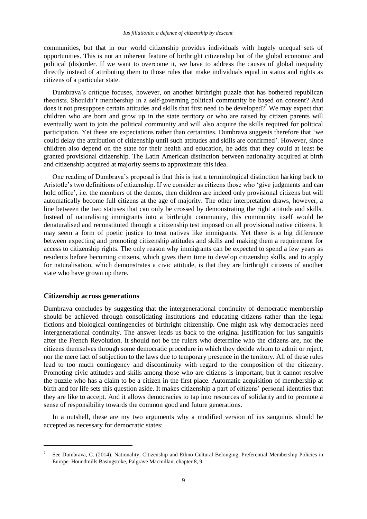communities, but that in our world citizenship provides individuals with hugely unequal sets of opportunities. This is not an inherent feature of birthright citizenship but of the global economic and political (dis)order. If we want to overcome it, we have to address the causes of global inequality directly instead of attributing them to those rules that make individuals equal in status and rights as citizens of a particular state.

Dumbrava's critique focuses, however, on another birthright puzzle that has bothered republican theorists. Shouldn't membership in a self-governing political community be based on consent? And does it not presuppose certain attitudes and skills that first need to be developed?<sup>7</sup> We may expect that children who are born and grow up in the state territory or who are raised by citizen parents will eventually want to join the political community and will also acquire the skills required for political participation. Yet these are expectations rather than certainties. Dumbrava suggests therefore that 'we could delay the attribution of citizenship until such attitudes and skills are confirmed'. However, since children also depend on the state for their health and education, he adds that they could at least be granted provisional citizenship. The Latin American distinction between nationality acquired at birth and citizenship acquired at majority seems to approximate this idea.

One reading of Dumbrava's proposal is that this is just a terminological distinction harking back to Aristotle's two definitions of citizenship. If we consider as citizens those who 'give judgments and can hold office', i.e. the members of the demos, then children are indeed only provisional citizens but will automatically become full citizens at the age of majority. The other interpretation draws, however, a line between the two statuses that can only be crossed by demonstrating the right attitude and skills. Instead of naturalising immigrants into a birthright community, this community itself would be denaturalised and reconstituted through a citizenship test imposed on all provisional native citizens. It may seem a form of poetic justice to treat natives like immigrants. Yet there is a big difference between expecting and promoting citizenship attitudes and skills and making them a requirement for access to citizenship rights. The only reason why immigrants can be expected to spend a few years as residents before becoming citizens, which gives them time to develop citizenship skills, and to apply for naturalisation, which demonstrates a civic attitude, is that they are birthright citizens of another state who have grown up there.

#### **Citizenship across generations**

l

Dumbrava concludes by suggesting that the intergenerational continuity of democratic membership should be achieved through consolidating institutions and educating citizens rather than the legal fictions and biological contingencies of birthright citizenship. One might ask why democracies need intergenerational continuity. The answer leads us back to the original justification for ius sanguinis after the French Revolution. It should not be the rulers who determine who the citizens are, nor the citizens themselves through some democratic procedure in which they decide whom to admit or reject, nor the mere fact of subjection to the laws due to temporary presence in the territory. All of these rules lead to too much contingency and discontinuity with regard to the composition of the citizenry. Promoting civic attitudes and skills among those who are citizens is important, but it cannot resolve the puzzle who has a claim to be a citizen in the first place. Automatic acquisition of membership at birth and for life sets this question aside. It makes citizenship a part of citizens' personal identities that they are like to accept. And it allows democracies to tap into resources of solidarity and to promote a sense of responsibility towards the common good and future generations.

In a nutshell, these are my two arguments why a modified version of ius sanguinis should be accepted as necessary for democratic states:

<sup>7</sup> See Dumbrava, C. (2014). Nationality, Citizenship and Ethno-Cultural Belonging, Preferential Membership Policies in Europe. Houndmills Basingstoke, Palgrave Macmillan, chapter 8, 9.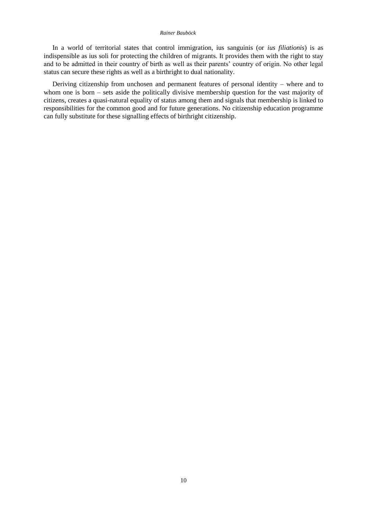#### *Rainer Bauböck*

In a world of territorial states that control immigration, ius sanguinis (or *ius filiationis*) is as indispensible as ius soli for protecting the children of migrants. It provides them with the right to stay and to be admitted in their country of birth as well as their parents' country of origin. No other legal status can secure these rights as well as a birthright to dual nationality.

Deriving citizenship from unchosen and permanent features of personal identity – where and to whom one is born – sets aside the politically divisive membership question for the vast majority of citizens, creates a quasi-natural equality of status among them and signals that membership is linked to responsibilities for the common good and for future generations. No citizenship education programme can fully substitute for these signalling effects of birthright citizenship.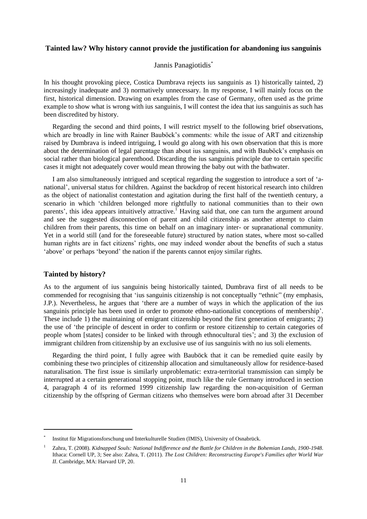#### <span id="page-18-1"></span><span id="page-18-0"></span>**Tainted law? Why history cannot provide the justification for abandoning ius sanguinis**

## [Jannis Panagiotidis](http://eudo-citizenship.eu/about/people/other-eudo-citizenship-collaborators/1396-panagiotidis-jannis)\*

In his thought provoking piece, Costica Dumbrava rejects ius sanguinis as 1) historically tainted, 2) increasingly inadequate and 3) normatively unnecessary. In my response, I will mainly focus on the first, historical dimension. Drawing on examples from the case of Germany, often used as the prime example to show what is wrong with ius sanguinis, I will contest the idea that ius sanguinis as such has been discredited by history.

Regarding the second and third points, I will restrict myself to the following brief observations, which are broadly in line with Rainer Bauböck's comments: while the issue of ART and citizenship raised by Dumbrava is indeed intriguing, I would go along with his own observation that this is more about the determination of legal parentage than about ius sanguinis, and with Bauböck's emphasis on social rather than biological parenthood. Discarding the ius sanguinis principle due to certain specific cases it might not adequately cover would mean throwing the baby out with the bathwater.

I am also simultaneously intrigued and sceptical regarding the suggestion to introduce a sort of 'anational', universal status for children. Against the backdrop of recent historical research into children as the object of nationalist contestation and agitation during the first half of the twentieth century, a scenario in which 'children belonged more rightfully to national communities than to their own parents', this idea appears intuitively attractive.<sup>1</sup> Having said that, one can turn the argument around and see the suggested disconnection of parent and child citizenship as another attempt to claim children from their parents, this time on behalf on an imaginary inter- or supranational community. Yet in a world still (and for the foreseeable future) structured by nation states, where most so-called human rights are in fact citizens' rights, one may indeed wonder about the benefits of such a status 'above' or perhaps 'beyond' the nation if the parents cannot enjoy similar rights.

#### **Tainted by history?**

l

As to the argument of ius sanguinis being historically tainted, Dumbrava first of all needs to be commended for recognising that 'ius sanguinis citizenship is not conceptually "ethnic" (my emphasis, J.P.). Nevertheless, he argues that 'there are a number of ways in which the application of the ius sanguinis principle has been used in order to promote ethno-nationalist conceptions of membership'. These include 1) the maintaining of emigrant citizenship beyond the first generation of emigrants; 2) the use of 'the principle of descent in order to confirm or restore citizenship to certain categories of people whom [states] consider to be linked with through ethnocultural ties'; and 3) the exclusion of immigrant children from citizenship by an exclusive use of ius sanguinis with no ius soli elements.

Regarding the third point, I fully agree with Bauböck that it can be remedied quite easily by combining these two principles of citizenship allocation and simultaneously allow for residence-based naturalisation. The first issue is similarly unproblematic: extra-territorial transmission can simply be interrupted at a certain generational stopping point, much like the rule Germany introduced in section 4, paragraph 4 of its reformed 1999 citizenship law regarding the non-acquisition of German citizenship by the offspring of German citizens who themselves were born abroad after 31 December

<sup>\*</sup> Institut für Migrationsforschung und Interkulturelle Studien (IMIS), University of Osnabrück.

<sup>1</sup> Zahra, T. (2008). *Kidnapped Souls: National Indifference and the Battle for Children in the Bohemian Lands, 1900-1948*. Ithaca: Cornell UP, 3; See also: Zahra, T. (2011). *The Lost Children: Reconstructing Europe's Families after World War II*. Cambridge, MA: Harvard UP, 20.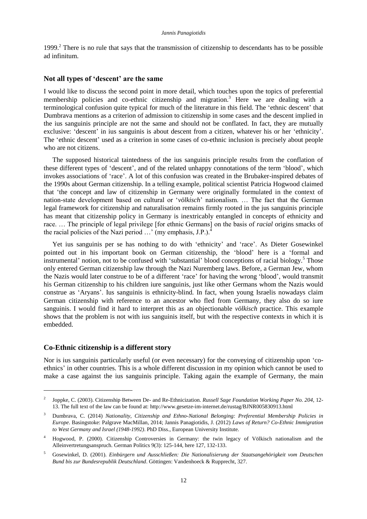1999.<sup>2</sup> There is no rule that says that the transmission of citizenship to descendants has to be possible ad infinitum.

#### **Not all types of 'descent' are the same**

I would like to discuss the second point in more detail, which touches upon the topics of preferential membership policies and co-ethnic citizenship and migration.<sup>3</sup> Here we are dealing with a terminological confusion quite typical for much of the literature in this field. The 'ethnic descent' that Dumbrava mentions as a criterion of admission to citizenship in some cases and the descent implied in the ius sanguinis principle are not the same and should not be conflated. In fact, they are mutually exclusive: 'descent' in ius sanguinis is about descent from a citizen, whatever his or her 'ethnicity'. The 'ethnic descent' used as a criterion in some cases of co-ethnic inclusion is precisely about people who are not citizens.

The supposed historical taintedness of the ius sanguinis principle results from the conflation of these different types of 'descent', and of the related unhappy connotations of the term 'blood', which invokes associations of 'race'. A lot of this confusion was created in the Brubaker-inspired debates of the 1990s about German citizenship. In a telling example, political scientist Patricia Hogwood claimed that 'the concept and law of citizenship in Germany were originally formulated in the context of nation-state development based on cultural or '*völkisch*' nationalism. … The fact that the German legal framework for citizenship and naturalisation remains firmly rooted in the jus sanguinis principle has meant that citizenship policy in Germany is inextricably entangled in concepts of ethnicity and race. … The principle of legal privilege [for ethnic Germans] on the basis of *racial* origins smacks of the racial policies of the Nazi period  $\ldots$  (my emphasis, J.P.).<sup>4</sup>

Yet ius sanguinis per se has nothing to do with 'ethnicity' and 'race'. As Dieter Gosewinkel pointed out in his important book on German citizenship, the 'blood' here is a 'formal and instrumental' notion, not to be confused with 'substantial' blood conceptions of racial biology.<sup>5</sup> Those only entered German citizenship law through the Nazi Nuremberg laws. Before, a German Jew, whom the Nazis would later construe to be of a different 'race' for having the wrong 'blood', would transmit his German citizenship to his children iure sanguinis, just like other Germans whom the Nazis would construe as 'Aryans'. Ius sanguinis is ethnicity-blind. In fact, when young Israelis nowadays claim German citizenship with reference to an ancestor who fled from Germany, they also do so iure sanguinis. I would find it hard to interpret this as an objectionable *völkisch* practice. This example shows that the problem is not with ius sanguinis itself, but with the respective contexts in which it is embedded.

#### **Co-Ethnic citizenship is a different story**

l

Nor is ius sanguinis particularly useful (or even necessary) for the conveying of citizenship upon 'coethnics' in other countries. This is a whole different discussion in my opinion which cannot be used to make a case against the ius sanguinis principle. Taking again the example of Germany, the main

<sup>2</sup> Joppke, C. (2003). Citizenship Between De- and Re-Ethnicization. *Russell Sage Foundation Working Paper No. 204*, 12- 13. The full text of the law can be found at[: http://www.gesetze-im-internet.de/rustag/BJNR005830913.html](http://www.gesetze-im-internet.de/rustag/BJNR005830913.html)

<sup>3</sup> Dumbrava, C. (2014) *Nationality, Citizenship and Ethno-National Belonging: Preferential Membership Policies in Europe*. Basingstoke: Palgrave MacMillan, 2014; Jannis Panagiotidis, J. (2012) *Laws of Return? Co-Ethnic Immigration to West Germany and Israel (1948-1992)*. PhD Diss., European University Institute.

<sup>4</sup> Hogwood, P. (2000). Citizenship Controversies in Germany: the twin legacy of Völkisch nationalism and the Alleinvertretungsanspruch. German Politics 9(3): 125-144, here 127, 132-133.

<sup>5</sup> Gosewinkel, D. (2001). *Einbürgern und Ausschließen: Die Nationalisierung der Staatsangehörigkeit vom Deutschen Bund bis zur Bundesrepublik Deutschland*. Göttingen: Vandenhoeck & Rupprecht, 327.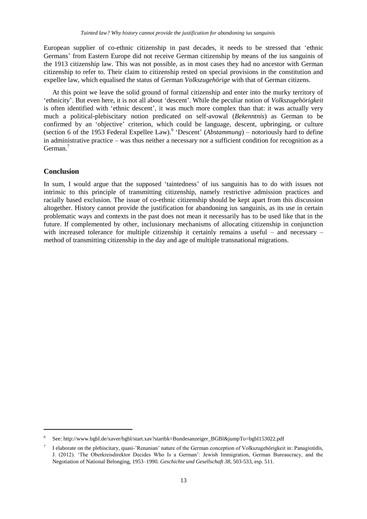European supplier of co-ethnic citizenship in past decades, it needs to be stressed that 'ethnic Germans' from Eastern Europe did not receive German citizenship by means of the ius sanguinis of the 1913 citizenship law. This was not possible, as in most cases they had no ancestor with German citizenship to refer to. Their claim to citizenship rested on special provisions in the constitution and expellee law, which equalised the status of German *Volkszugehörige* with that of German citizens.

At this point we leave the solid ground of formal citizenship and enter into the murky territory of 'ethnicity'. But even here, it is not all about 'descent'. While the peculiar notion of *Volkszugehörigkeit* is often identified with 'ethnic descent', it was much more complex than that: it was actually very much a political-plebiscitary notion predicated on self-avowal (*Bekenntnis*) as German to be confirmed by an 'objective' criterion, which could be language, descent, upbringing, or culture (section 6 of the 1953 Federal Expellee Law).<sup>6</sup> 'Descent' (*Abstammung*) – notoriously hard to define in administrative practice – was thus neither a necessary nor a sufficient condition for recognition as a German.<sup>7</sup>

#### **Conclusion**

l

In sum, I would argue that the supposed 'taintedness' of ius sanguinis has to do with issues not intrinsic to this principle of transmitting citizenship, namely restrictive admission practices and racially based exclusion. The issue of co-ethnic citizenship should be kept apart from this discussion altogether. History cannot provide the justification for abandoning ius sanguinis, as its use in certain problematic ways and contexts in the past does not mean it necessarily has to be used like that in the future. If complemented by other, inclusionary mechanisms of allocating citizenship in conjunction with increased tolerance for multiple citizenship it certainly remains a useful – and necessary – method of transmitting citizenship in the day and age of multiple transnational migrations.

<sup>6</sup> See: [http://www.bgbl.de/xaver/bgbl/start.xav?startbk=Bundesanzeiger\\_BGBl&jumpTo=bgbl153022.pdf](http://www.bgbl.de/xaver/bgbl/start.xav?startbk=Bundesanzeiger_BGBl&jumpTo=bgbl153022.pdf)

<sup>7</sup> I elaborate on the plebiscitary, quasi-'Renanian' nature of the German conception of Volkszugehörigkeit in: Panagiotidis, J. (2012). 'The Oberkreisdirektor Decides Who Is a German': Jewish Immigration, German Bureaucracy, and the Negotiation of National Belonging, 1953–1990. *Geschichte und Gesellschaft 38*, 503-533, esp. 511.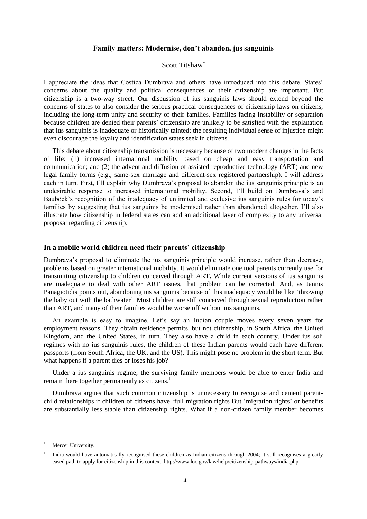#### **Family matters: Modernise, don't abandon, jus sanguinis**

## [Scott Titshaw](http://eudo-citizenship.eu/about/people/other-eudo-citizenship-collaborators/1401-titshaw-scott)\*

<span id="page-21-1"></span><span id="page-21-0"></span>I appreciate the ideas that Costica Dumbrava and others have introduced into this debate. States' concerns about the quality and political consequences of their citizenship are important. But citizenship is a two-way street. Our discussion of ius sanguinis laws should extend beyond the concerns of states to also consider the serious practical consequences of citizenship laws on citizens, including the long-term unity and security of their families. Families facing instability or separation because children are denied their parents' citizenship are unlikely to be satisfied with the explanation that ius sanguinis is inadequate or historically tainted; the resulting individual sense of injustice might even discourage the loyalty and identification states seek in citizens.

This debate about citizenship transmission is necessary because of two modern changes in the facts of life: (1) increased international mobility based on cheap and easy transportation and communication; and (2) the advent and diffusion of assisted reproductive technology (ART) and new legal family forms (e.g., same-sex marriage and different-sex registered partnership). I will address each in turn. First, I'll explain why Dumbrava's proposal to abandon the ius sanguinis principle is an undesirable response to increased international mobility. Second, I'll build on Dumbrava's and Bauböck's recognition of the inadequacy of unlimited and exclusive ius sanguinis rules for today's families by suggesting that ius sanguinis be modernised rather than abandoned altogether. I'll also illustrate how citizenship in federal states can add an additional layer of complexity to any universal proposal regarding citizenship.

#### **In a mobile world children need their parents' citizenship**

Dumbrava's proposal to eliminate the ius sanguinis principle would increase, rather than decrease, problems based on greater international mobility. It would eliminate one tool parents currently use for transmitting citizenship to children conceived through ART. While current versions of ius sanguinis are inadequate to deal with other ART issues, that problem can be corrected. And, as Jannis Panagiotidis points out, abandoning ius sanguinis because of this inadequacy would be like 'throwing the baby out with the bathwater'. Most children are still conceived through sexual reproduction rather than ART, and many of their families would be worse off without ius sanguinis.

An example is easy to imagine. Let's say an Indian couple moves every seven years for employment reasons. They obtain residence permits, but not citizenship, in South Africa, the United Kingdom, and the United States, in turn. They also have a child in each country. Under ius soli regimes with no ius sanguinis rules, the children of these Indian parents would each have different passports (from South Africa, the UK, and the US). This might pose no problem in the short term. But what happens if a parent dies or loses his job?

Under a ius sanguinis regime, the surviving family members would be able to enter India and remain there together permanently as citizens.<sup>1</sup>

Dumbrava argues that such common citizenship is unnecessary to recognise and cement parentchild relationships if children of citizens have 'full migration rights But 'migration rights' or benefits are substantially less stable than citizenship rights. What if a non-citizen family member becomes

Mercer University.

<sup>1</sup> India would have automatically recognised these children as Indian citizens through 2004; it still recognises a greatly eased path to apply for citizenship in this context. <http://www.loc.gov/law/help/citizenship-pathways/india.php>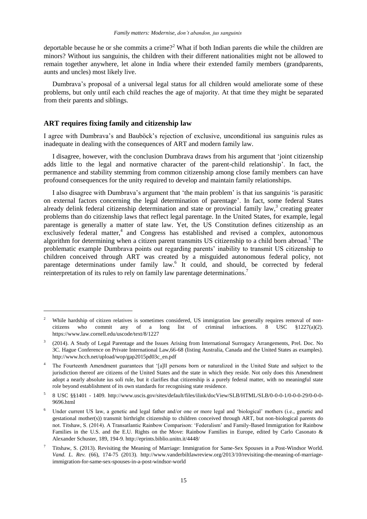deportable because he or she commits a crime?<sup>2</sup> What if both Indian parents die while the children are minors? Without ius sanguinis, the children with their different nationalities might not be allowed to remain together anywhere, let alone in India where their extended family members (grandparents, aunts and uncles) most likely live.

Dumbrava's proposal of a universal legal status for all children would ameliorate some of these problems, but only until each child reaches the age of majority. At that time they might be separated from their parents and siblings.

#### **ART requires fixing family and citizenship law**

l

I agree with Dumbrava's and Bauböck's rejection of exclusive, unconditional ius sanguinis rules as inadequate in dealing with the consequences of ART and modern family law.

I disagree, however, with the conclusion Dumbrava draws from his argument that 'joint citizenship adds little to the legal and normative character of the parent-child relationship'. In fact, the permanence and stability stemming from common citizenship among close family members can have profound consequences for the unity required to develop and maintain family relationships.

I also disagree with Dumbrava's argument that 'the main problem' is that ius sanguinis 'is parasitic on external factors concerning the legal determination of parentage'. In fact, some federal States already delink federal citizenship determination and state or provincial family law, $3$  creating greater problems than do citizenship laws that reflect legal parentage. In the United States, for example, legal parentage is generally a matter of state law. Yet, the US Constitution defines citizenship as an exclusively federal matter,<sup>4</sup> and Congress has established and revised a complex, autonomous algorithm for determining when a citizen parent transmits US citizenship to a child born abroad.<sup>5</sup> The problematic example Dumbrava points out regarding parents' inability to transmit US citizenship to children conceived through ART was created by a misguided autonomous federal policy, not parentage determinations under family law.<sup>6</sup> It could, and should, be corrected by federal reinterpretation of its rules to rely on family law parentage determinations.<sup>7</sup>

<sup>&</sup>lt;sup>2</sup> While hardship of citizen relatives is sometimes considered, US immigration law generally requires removal of noncitizens who commit any of a long list of criminal infractions. 8 USC  $\S 1227(a)(2)$ . <https://www.law.cornell.edu/uscode/text/8/1227>

<sup>3</sup> (2014). A Study of Legal Parentage and the Issues Arising from International Surrogacy Arrangements, Prel. Doc. No 3C. Hague Conference on Private International Law,66-68 (listing Australia, Canada and the United States as examples). [http://www.hcch.net/upload/wop/gap2015pd03c\\_en.pdf](http://www.hcch.net/upload/wop/gap2015pd03c_en.pdf)

<sup>&</sup>lt;sup>4</sup> The Fourteenth Amendment guarantees that '[a]ll persons born or naturalized in the United State and subject to the jurisdiction thereof are citizens of the United States and the state in which they reside. Not only does this Amendment adopt a nearly absolute ius soli rule, but it clarifies that citizenship is a purely federal matter, with no meaningful state role beyond establishment of its own standards for recognising state residence.

<sup>5</sup> 8 USC §§1401 - 1409. [http://www.uscis.gov/sites/default/files/ilink/docView/SLB/HTML/SLB/0-0-0-1/0-0-0-29/0-0-0-](http://www.uscis.gov/sites/default/files/ilink/docView/SLB/HTML/SLB/0-0-0-1/0-0-0-29/0-0-0-9696.html) [9696.html](http://www.uscis.gov/sites/default/files/ilink/docView/SLB/HTML/SLB/0-0-0-1/0-0-0-29/0-0-0-9696.html)

Under current US law, a genetic and legal father and/or one or more legal and 'biological' mothers (i.e., genetic and gestational mother(s)) transmit birthright citizenship to children conceived through ART, but non-biological parents do not. Titshaw, S. (2014). A Transatlantic Rainbow Comparison: 'Federalism' and Family-Based Immigration for Rainbow Families in the U.S. and the E.U. Rights on the Move: Rainbow Families in Europe, edited by Carlo Casonato & Alexander Schuster, 189, 194-9.<http://eprints.biblio.unitn.it/4448/>

<sup>7</sup> Titshaw, S. (2013). Revisiting the Meaning of Marriage: Immigration for Same-Sex Spouses in a Post-Windsor World. *Vand. L. Rev.* (66), 174-75 (2013). [http://www.vanderbiltlawreview.org/2013/10/revisiting-the-meaning-of-marriage](http://www.vanderbiltlawreview.org/2013/10/revisiting-the-meaning-of-marriage-immigration-for-same-sex-spouses-in-a-post-windsor-world)[immigration-for-same-sex-spouses-in-a-post-windsor-world](http://www.vanderbiltlawreview.org/2013/10/revisiting-the-meaning-of-marriage-immigration-for-same-sex-spouses-in-a-post-windsor-world)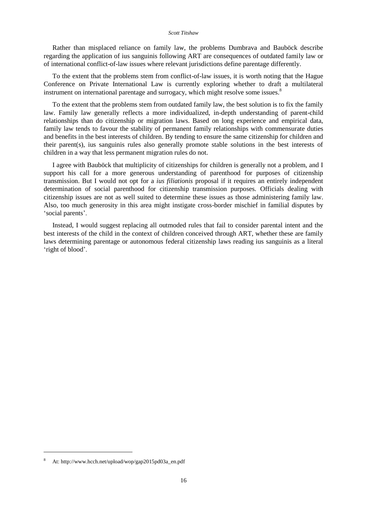#### *Scott Titshaw*

Rather than misplaced reliance on family law, the problems Dumbrava and Bauböck describe regarding the application of ius sanguinis following ART are consequences of outdated family law or of international conflict-of-law issues where relevant jurisdictions define parentage differently.

To the extent that the problems stem from conflict-of-law issues, it is worth noting that the Hague Conference on Private International Law is currently exploring whether to draft a multilateral instrument on international parentage and surrogacy, which might resolve some issues.<sup>8</sup>

To the extent that the problems stem from outdated family law, the best solution is to fix the family law. Family law generally reflects a more individualized, in-depth understanding of parent-child relationships than do citizenship or migration laws. Based on long experience and empirical data, family law tends to favour the stability of permanent family relationships with commensurate duties and benefits in the best interests of children. By tending to ensure the same citizenship for children and their parent(s), ius sanguinis rules also generally promote stable solutions in the best interests of children in a way that less permanent migration rules do not.

I agree with Bauböck that multiplicity of citizenships for children is generally not a problem, and I support his call for a more generous understanding of parenthood for purposes of citizenship transmission. But I would not opt for a *ius filiationis* proposal if it requires an entirely independent determination of social parenthood for citizenship transmission purposes. Officials dealing with citizenship issues are not as well suited to determine these issues as those administering family law. Also, too much generosity in this area might instigate cross-border mischief in familial disputes by 'social parents'.

Instead, I would suggest replacing all outmoded rules that fail to consider parental intent and the best interests of the child in the context of children conceived through ART, whether these are family laws determining parentage or autonomous federal citizenship laws reading ius sanguinis as a literal 'right of blood'.

At: [http://www.hcch.net/upload/wop/gap2015pd03a\\_en.pdf](http://www.hcch.net/upload/wop/gap2015pd03a_en.pdf)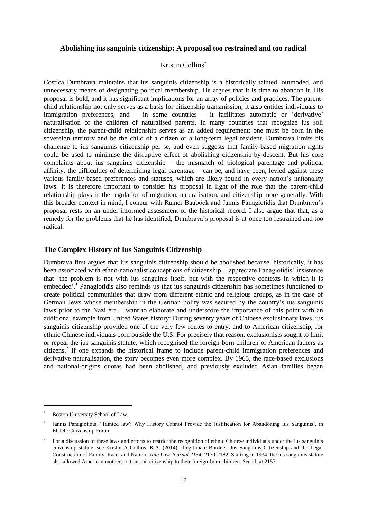#### <span id="page-24-1"></span><span id="page-24-0"></span>**Abolishing ius sanguinis citizenship: A proposal too restrained and too radical**

## [Kristin Collins](http://eudo-citizenship.eu/about/people/other-eudo-citizenship-collaborators/1410-collins-kristin)\*

Costica Dumbrava maintains that ius sanguinis citizenship is a historically tainted, outmoded, and unnecessary means of designating political membership. He argues that it is time to abandon it. His proposal is bold, and it has significant implications for an array of policies and practices. The parentchild relationship not only serves as a basis for citizenship transmission; it also entitles individuals to immigration preferences, and – in some countries – it facilitates automatic or 'derivative' naturalisation of the children of naturalised parents. In many countries that recognize ius soli citizenship, the parent-child relationship serves as an added requirement: one must be born in the sovereign territory and be the child of a citizen or a long-term legal resident. Dumbrava limits his challenge to ius sanguinis citizenship per se, and even suggests that family-based migration rights could be used to minimise the disruptive effect of abolishing citizenship-by-descent. But his core complaints about ius sanguinis citizenship – the mismatch of biological parentage and political affinity, the difficulties of determining legal parentage – can be, and have been, levied against these various family-based preferences and statuses, which are likely found in every nation's nationality laws. It is therefore important to consider his proposal in light of the role that the parent-child relationship plays in the regulation of migration, naturalisation, and citizenship more generally. With this broader context in mind, I concur with Rainer Bauböck and Jannis Panagiotidis that Dumbrava's proposal rests on an under-informed assessment of the historical record. I also argue that that, as a remedy for the problems that he has identified, Dumbrava's proposal is at once too restrained and too radical.

#### **The Complex History of Ius Sanguinis Citizenship**

Dumbrava first argues that ius sanguinis citizenship should be abolished because, historically, it has been associated with ethno-nationalist conceptions of citizenship. I appreciate Panagiotidis' insistence that 'the problem is not with ius sanguinis itself, but with the respective contexts in which it is embedded'.<sup>1</sup> Panagiotidis also reminds us that ius sanguinis citizenship has sometimes functioned to create political communities that draw from different ethnic and religious groups, as in the case of German Jews whose membership in the German polity was secured by the country's ius sanguinis laws prior to the Nazi era. I want to elaborate and underscore the importance of this point with an additional example from United States history: During seventy years of Chinese exclusionary laws, ius sanguinis citizenship provided one of the very few routes to entry, and to American citizenship, for ethnic Chinese individuals born outside the U.S. For precisely that reason, exclusionists sought to limit or repeal the ius sanguinis statute, which recognised the foreign-born children of American fathers as citizens.<sup>2</sup> If one expands the historical frame to include parent-child immigration preferences and derivative naturalisation, the story becomes even more complex. By 1965, the race-based exclusions and national-origins quotas had been abolished, and previously excluded Asian families began

Boston University School of Law.

<sup>1</sup> Jannis Panagiotidis, 'Tainted law? Why History Cannot Provide the Justification for Abandoning Ius Sanguinis', in EUDO Citizenship Forum.

<sup>2</sup> For a discussion of these laws and efforts to restrict the recognition of ethnic Chinese individuals under the ius sanguinis citizenship statute, see Kristin A Collins, K.A. (2014). Illegitimate Borders: Jus Sanguinis Citizenship and the Legal Construction of Family, Race, and Nation. *Yale Law Journal 2134*, 2170-2182. Starting in 1934, the ius sanguinis statute also allowed American mothers to transmit citizenship to their foreign-born children. See id. at 2157.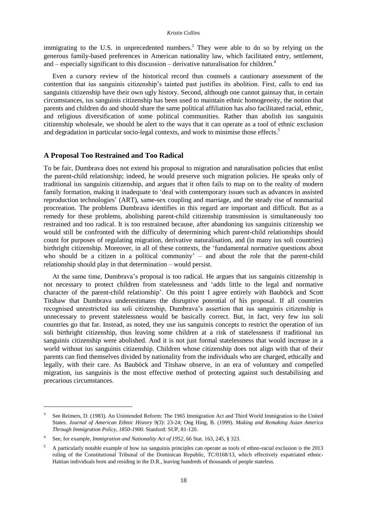#### *Kristin Collins*

immigrating to the U.S. in unprecedented numbers.<sup>3</sup> They were able to do so by relying on the generous family-based preferences in American nationality law, which facilitated entry, settlement, and – especially significant to this discussion – derivative naturalisation for children.<sup>4</sup>

Even a cursory review of the historical record thus counsels a cautionary assessment of the contention that ius sanguinis citizenship's tainted past justifies its abolition. First, calls to end ius sanguinis citizenship have their own ugly history. Second, although one cannot gainsay that, in certain circumstances, ius sanguinis citizenship has been used to maintain ethnic homogeneity, the notion that parents and children do and should share the same political affiliation has also facilitated racial, ethnic, and religious diversification of some political communities. Rather than abolish ius sanguinis citizenship wholesale, we should be alert to the ways that it can operate as a tool of ethnic exclusion and degradation in particular socio-legal contexts, and work to minimise those effects. 5

#### **A Proposal Too Restrained and Too Radical**

To be fair, Dumbrava does not extend his proposal to migration and naturalisation policies that enlist the parent-child relationship; indeed, he would preserve such migration policies. He speaks only of traditional ius sanguinis citizenship, and argues that it often fails to map on to the reality of modern family formation, making it inadequate to 'deal with contemporary issues such as advances in assisted reproduction technologies' (ART), same-sex coupling and marriage, and the steady rise of nonmarital procreation. The problems Dumbrava identifies in this regard are important and difficult. But as a remedy for these problems, abolishing parent-child citizenship transmission is simultaneously too restrained and too radical. It is too restrained because, after abandoning ius sanguinis citizenship we would still be confronted with the difficulty of determining which parent-child relationships should count for purposes of regulating migration, derivative naturalisation, and (in many ius soli countries) birthright citizenship. Moreover, in all of these contexts, the 'fundamental normative questions about who should be a citizen in a political community' – and about the role that the parent-child relationship should play in that determination – would persist.

At the same time, Dumbrava's proposal is too radical. He argues that ius sanguinis citizenship is not necessary to protect children from statelessness and 'adds little to the legal and normative character of the parent-child relationship'. On this point I agree entirely with Bauböck and Scott Titshaw that Dumbrava underestimates the disruptive potential of his proposal. If all countries recognised unrestricted ius soli citizenship, Dumbrava's assertion that ius sanguinis citizenship is unnecessary to prevent statelessness would be basically correct. But, in fact, very few ius soli countries go that far. Instead, as noted, they use ius sanguinis concepts to restrict the operation of ius soli birthright citizenship, thus leaving some children at a risk of statelessness if traditional ius sanguinis citizenship were abolished. And it is not just formal statelessness that would increase in a world without ius sanguinis citizenship. Children whose citizenship does not align with that of their parents can find themselves divided by nationality from the individuals who are charged, ethically and legally, with their care. As Bauböck and Titshaw observe, in an era of voluntary and compelled migration, ius sanguinis is the most effective method of protecting against such destabilising and precarious circumstances.

<sup>3</sup> See Reimers, D. (1983). An Unintended Reform: The 1965 Immigration Act and Third World Immigration to the United States. *Journal of American Ethnic History 9(3)*: 23-24; Ong Hing, B. (1999). *Making and Remaking Asian America Through Immigration Policy, 1850-1900.* Stanford: SUP, 81-120.

<sup>4</sup> See, for example, *Immigration and Nationality Act of 1952*, 66 Stat. 163, 245, § 323.

<sup>5</sup> A particularly notable example of how ius sanguinis principles can operate as tools of ethno-racial exclusion is the 2013 ruling of the Constitutional Tribunal of the Dominican Republic, TC/0168/13, which effectively expatriated ethnic-Haitian individuals born and residing in the D.R., leaving hundreds of thousands of people stateless.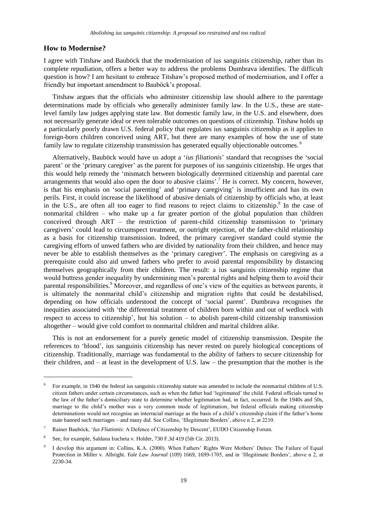#### **How to Modernise?**

 $\overline{a}$ 

I agree with Titshaw and Bauböck that the modernisation of ius sanguinis citizenship, rather than its complete repudiation, offers a better way to address the problems Dumbrava identifies. The difficult question is how? I am hesitant to embrace Titshaw's proposed method of modernisation, and I offer a friendly but important amendment to Bauböck's proposal.

Titshaw argues that the officials who administer citizenship law should adhere to the parentage determinations made by officials who generally administer family law. In the U.S., these are statelevel family law judges applying state law. But domestic family law, in the U.S. and elsewhere, does not necessarily generate ideal or even tolerable outcomes on questions of citizenship. Titshaw holds up a particularly poorly drawn U.S. federal policy that regulates ius sanguinis citizenship as it applies to foreign-born children conceived using ART, but there are many examples of how the use of state family law to regulate citizenship transmission has generated equally objectionable outcomes.<sup>6</sup>

Alternatively, Bauböck would have us adopt a '*ius filiationis*' standard that recognises the 'social parent' or the 'primary caregiver' as the parent for purposes of ius sanguinis citizenship. He urges that this would help remedy the 'mismatch between biologically determined citizenship and parental care arrangements that would also open the door to abusive claims'.<sup>7</sup> He is correct. My concern, however, is that his emphasis on 'social parenting' and 'primary caregiving' is insufficient and has its own perils. First, it could increase the likelihood of abusive denials of citizenship by officials who, at least in the U.S., are often all too eager to find reasons to reject claims to citizenship.<sup>8</sup> In the case of nonmarital children – who make up a far greater portion of the global population than children conceived through ART – the restriction of parent-child citizenship transmission to 'primary caregivers' could lead to circumspect treatment, or outright rejection, of the father-child relationship as a basis for citizenship transmission. Indeed, the primary caregiver standard could stymie the caregiving efforts of unwed fathers who are divided by nationality from their children, and hence may never be able to establish themselves as the 'primary caregiver'. The emphasis on caregiving as a prerequisite could also aid unwed fathers who prefer to avoid parental responsibility by distancing themselves geographically from their children. The result: a ius sanguinis citizenship regime that would buttress gender inequality by undermining men's parental rights and helping them to avoid their parental responsibilities.<sup>9</sup> Moreover, and regardless of one's view of the equities as between parents, it is ultimately the nonmarital child's citizenship and migration rights that could be destabilised, depending on how officials understood the concept of 'social parent'. Dumbrava recognises the inequities associated with 'the differential treatment of children born within and out of wedlock with respect to access to citizenship', but his solution – to abolish parent-child citizenship transmission altogether – would give cold comfort to nonmarital children and marital children alike.

This is not an endorsement for a purely genetic model of citizenship transmission. Despite the references to 'blood', ius sanguinis citizenship has never rested on purely biological conceptions of citizenship. Traditionally, marriage was fundamental to the ability of fathers to secure citizenship for their children, and – at least in the development of U.S. law – the presumption that the mother is the

<sup>6</sup> For example, in 1940 the federal ius sanguinis citizenship statute was amended to include the nonmarital children of U.S. citizen fathers under certain circumstances, such as when the father had 'legitimated' the child. Federal officials turned to the law of the father's domiciliary state to determine whether legitimation had, in fact, occurred. In the 1940s and 50s, marriage to the child's mother was a very common mode of legitimation, but federal officials making citizenship determinations would not recognise an interracial marriage as the basis of a child's citizenship claim if the father's home state banned such marriages – and many did. See Collins, 'Illegitimate Borders', above n 2, at 2210.

<sup>7</sup> Rainer Bauböck, '*Ius Fliationis*: A Defence of Citizenship by Descent', EUDO Citizenship Forum.

<sup>8</sup> See, for example, Saldana Iracheta v. Holder, 730 F.3d 419 (5th Cir. 2013).

<sup>9</sup> I develop this argument in: Collins, K.A. (2000). When Fathers' Rights Were Mothers' Duties: The Failure of Equal Protection in Miller v. Albright. *Yale Law Journal* (109) 1669, 1699-1705, and in 'Illegitimate Borders', above n 2, at 2230-34.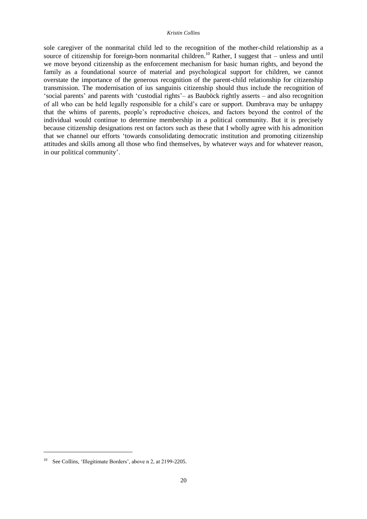#### *Kristin Collins*

sole caregiver of the nonmarital child led to the recognition of the mother-child relationship as a source of citizenship for foreign-born nonmarital children.<sup>10</sup> Rather, I suggest that  $-$  unless and until we move beyond citizenship as the enforcement mechanism for basic human rights, and beyond the family as a foundational source of material and psychological support for children, we cannot overstate the importance of the generous recognition of the parent-child relationship for citizenship transmission. The modernisation of ius sanguinis citizenship should thus include the recognition of 'social parents' and parents with 'custodial rights'– as Bauböck rightly asserts – and also recognition of all who can be held legally responsible for a child's care or support. Dumbrava may be unhappy that the whims of parents, people's reproductive choices, and factors beyond the control of the individual would continue to determine membership in a political community. But it is precisely because citizenship designations rest on factors such as these that I wholly agree with his admonition that we channel our efforts 'towards consolidating democratic institution and promoting citizenship attitudes and skills among all those who find themselves, by whatever ways and for whatever reason, in our political community'.

See Collins, 'Illegitimate Borders', above n 2, at 2199-2205.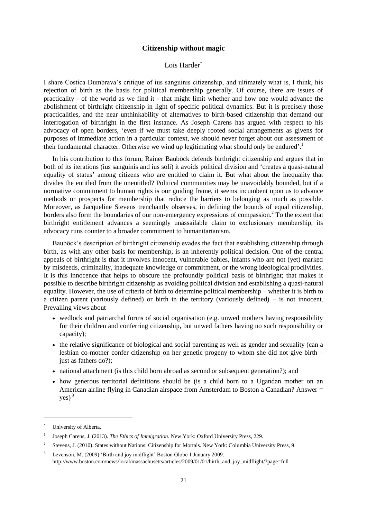#### **Citizenship without magic**

#### [Lois Harder](http://eudo-citizenship.eu/about/people/other-eudo-citizenship-collaborators/1419-harder-lois)\*

<span id="page-28-1"></span><span id="page-28-0"></span>I share Costica Dumbrava's critique of ius sanguinis citizenship, and ultimately what is, I think, his rejection of birth as the basis for political membership generally. Of course, there are issues of practicality - of the world as we find it - that might limit whether and how one would advance the abolishment of birthright citizenship in light of specific political dynamics. But it is precisely those practicalities, and the near unthinkability of alternatives to birth-based citizenship that demand our interrogation of birthright in the first instance. As Joseph Carens has argued with respect to his advocacy of open borders, 'even if we must take deeply rooted social arrangements as givens for purposes of immediate action in a particular context, we should never forget about our assessment of their fundamental character. Otherwise we wind up legitimating what should only be endured'.<sup>1</sup>

In his contribution to this forum, Rainer Bauböck defends birthright citizenship and argues that in both of its iterations (ius sanguinis and ius soli) it avoids political division and 'creates a quasi-natural equality of status' among citizens who are entitled to claim it. But what about the inequality that divides the entitled from the unentitled? Political communities may be unavoidably bounded, but if a normative commitment to human rights is our guiding frame, it seems incumbent upon us to advance methods or prospects for membership that reduce the barriers to belonging as much as possible. Moreover, as Jacqueline Stevens trenchantly observes, in defining the bounds of equal citizenship, borders also form the boundaries of our non-emergency expressions of compassion.<sup>2</sup> To the extent that birthright entitlement advances a seemingly unassailable claim to exclusionary membership, its advocacy runs counter to a broader commitment to humanitarianism.

Bauböck's description of birthright citizenship evades the fact that establishing citizenship through birth, as with any other basis for membership, is an inherently political decision. One of the central appeals of birthright is that it involves innocent, vulnerable babies, infants who are not (yet) marked by misdeeds, criminality, inadequate knowledge or commitment, or the wrong ideological proclivities. It is this innocence that helps to obscure the profoundly political basis of birthright; that makes it possible to describe birthright citizenship as avoiding political division and establishing a quasi-natural equality. However, the use of criteria of birth to determine political membership – whether it is birth to a citizen parent (variously defined) or birth in the territory (variously defined) – is not innocent. Prevailing views about

- wedlock and patriarchal forms of social organisation (e.g. unwed mothers having responsibility for their children and conferring citizenship, but unwed fathers having no such responsibility or capacity);
- the relative significance of biological and social parenting as well as gender and sexuality (can a lesbian co-mother confer citizenship on her genetic progeny to whom she did not give birth – just as fathers do?);
- national attachment (is this child born abroad as second or subsequent generation?); and
- how generous territorial definitions should be (is a child born to a Ugandan mother on an American airline flying in Canadian airspace from Amsterdam to Boston a Canadian? Answer =  $yes)^3$

University of Alberta.

<sup>1</sup> Joseph Carens, J. (2013). *The Ethics of Immigration*. New York: Oxford University Press, 229.

 $\overline{2}$ Stevens, J. (2010). States without Nations: Citizenship for Mortals. New York: Columbia University Press, 9.

Levenson, M. (2009) 'Birth and joy midflight' Boston Globe 1 January 2009. [http://www.boston.com/news/local/massachusetts/articles/2009/01/01/birth\\_and\\_joy\\_midflight/?page=full](http://www.boston.com/news/local/massachusetts/articles/2009/01/01/birth_and_joy_midflight/?page=full)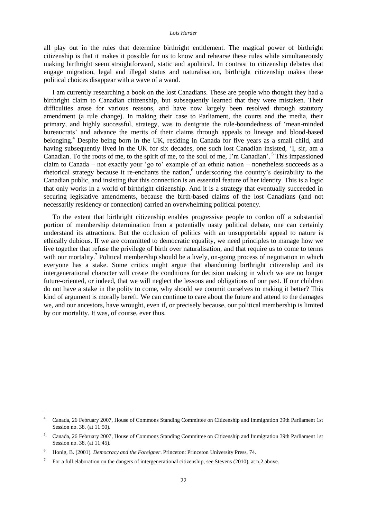#### *Lois Harder*

all play out in the rules that determine birthright entitlement. The magical power of birthright citizenship is that it makes it possible for us to know and rehearse these rules while simultaneously making birthright seem straightforward, static and apolitical. In contrast to citizenship debates that engage migration, legal and illegal status and naturalisation, birthright citizenship makes these political choices disappear with a wave of a wand.

I am currently researching a book on the lost Canadians. These are people who thought they had a birthright claim to Canadian citizenship, but subsequently learned that they were mistaken. Their difficulties arose for various reasons, and have now largely been resolved through statutory amendment (a rule change). In making their case to Parliament, the courts and the media, their primary, and highly successful, strategy, was to denigrate the rule-boundedness of 'mean-minded bureaucrats' and advance the merits of their claims through appeals to lineage and blood-based belonging.<sup>4</sup> Despite being born in the UK, residing in Canada for five years as a small child, and having subsequently lived in the UK for six decades, one such lost Canadian insisted, 'I, sir, am a Canadian. To the roots of me, to the spirit of me, to the soul of me, I'm Canadian'. <sup>5</sup> This impassioned claim to Canada – not exactly your 'go to' example of an ethnic nation – nonetheless succeeds as a rhetorical strategy because it re-enchants the nation,<sup>6</sup> underscoring the country's desirability to the Canadian public, and insisting that this connection is an essential feature of her identity. This is a logic that only works in a world of birthright citizenship. And it is a strategy that eventually succeeded in securing legislative amendments, because the birth-based claims of the lost Canadians (and not necessarily residency or connection) carried an overwhelming political potency.

To the extent that birthright citizenship enables progressive people to cordon off a substantial portion of membership determination from a potentially nasty political debate, one can certainly understand its attractions. But the occlusion of politics with an unsupportable appeal to nature is ethically dubious. If we are committed to democratic equality, we need principles to manage how we live together that refuse the privilege of birth over naturalisation, and that require us to come to terms with our mortality.<sup>7</sup> Political membership should be a lively, on-going process of negotiation in which everyone has a stake. Some critics might argue that abandoning birthright citizenship and its intergenerational character will create the conditions for decision making in which we are no longer future-oriented, or indeed, that we will neglect the lessons and obligations of our past. If our children do not have a stake in the polity to come, why should we commit ourselves to making it better? This kind of argument is morally bereft. We can continue to care about the future and attend to the damages we, and our ancestors, have wrought, even if, or precisely because, our political membership is limited by our mortality. It was, of course, ever thus.

<sup>4</sup> Canada, 26 February 2007, House of Commons Standing Committee on Citizenship and Immigration 39th Parliament 1st Session no. 38. (at 11:50).

<sup>5</sup> Canada, 26 February 2007, House of Commons Standing Committee on Citizenship and Immigration 39th Parliament 1st Session no. 38. (at 11:45).

<sup>6</sup> Honig, B. (2001). *Democracy and the Foreigner*. Princeton: Princeton University Press, 74.

<sup>7</sup> For a full elaboration on the dangers of intergenerational citizenship, see Stevens (2010), at n.2 above.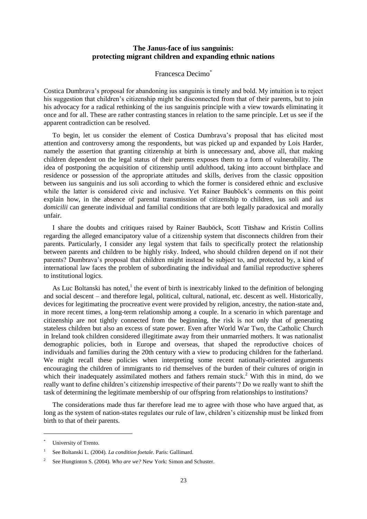# **The Janus-face of ius sanguinis: protecting migrant children and expanding ethnic nations**

## [Francesca Decimo](http://eudo-citizenship.eu/about/people/other-eudo-citizenship-collaborators/1424-decimo-francesca)\*

<span id="page-30-2"></span><span id="page-30-1"></span><span id="page-30-0"></span>Costica Dumbrava's proposal for abandoning ius sanguinis is timely and bold. My intuition is to reject his suggestion that children's citizenship might be disconnected from that of their parents, but to join his advocacy for a radical rethinking of the ius sanguinis principle with a view towards eliminating it once and for all. These are rather contrasting stances in relation to the same principle. Let us see if the apparent contradiction can be resolved.

To begin, let us consider the element of Costica Dumbrava's proposal that has elicited most attention and controversy among the respondents, but was picked up and expanded by Lois Harder, namely the assertion that granting citizenship at birth is unnecessary and, above all, that making children dependent on the legal status of their parents exposes them to a form of vulnerability. The idea of postponing the acquisition of citizenship until adulthood, taking into account birthplace and residence or possession of the appropriate attitudes and skills, derives from the classic opposition between ius sanguinis and ius soli according to which the former is considered ethnic and exclusive while the latter is considered civic and inclusive. Yet Rainer Bauböck's comments on this point explain how, in the absence of parental transmission of citizenship to children, ius soli and *ius domicilii* can generate individual and familial conditions that are both legally paradoxical and morally unfair.

I share the doubts and critiques raised by Rainer Bauböck, Scott Titshaw and Kristin Collins regarding the alleged emancipatory value of a citizenship system that disconnects children from their parents. Particularly, I consider any legal system that fails to specifically protect the relationship between parents and children to be highly risky. Indeed, who should children depend on if not their parents? Dumbrava's proposal that children might instead be subject to, and protected by, a kind of international law faces the problem of subordinating the individual and familial reproductive spheres to institutional logics.

As Luc Boltanski has noted, $<sup>1</sup>$  the event of birth is inextricably linked to the definition of belonging</sup> and social descent – and therefore legal, political, cultural, national, etc. descent as well. Historically, devices for legitimating the procreative event were provided by religion, ancestry, the nation-state and, in more recent times, a long-term relationship among a couple. In a scenario in which parentage and citizenship are not tightly connected from the beginning, the risk is not only that of generating stateless children but also an excess of state power. Even after World War Two, the Catholic Church in Ireland took children considered illegitimate away from their unmarried mothers. It was nationalist demographic policies, both in Europe and overseas, that shaped the reproductive choices of individuals and families during the 20th century with a view to producing children for the fatherland. We might recall these policies when interpreting some recent nationally-oriented arguments encouraging the children of immigrants to rid themselves of the burden of their cultures of origin in which their inadequately assimilated mothers and fathers remain stuck.<sup>2</sup> With this in mind, do we really want to define children's citizenship irrespective of their parents'? Do we really want to shift the task of determining the legitimate membership of our offspring from relationships to institutions?

The considerations made thus far therefore lead me to agree with those who have argued that, as long as the system of nation-states regulates our rule of law, children's citizenship must be linked from birth to that of their parents.

University of Trento.

<sup>1</sup> See Boltanski L. (2004). *La condition foetale.* Paris: Gallimard.

<sup>2</sup> See Hungtinton S. (2004). *Who are we?* New York: Simon and Schuster.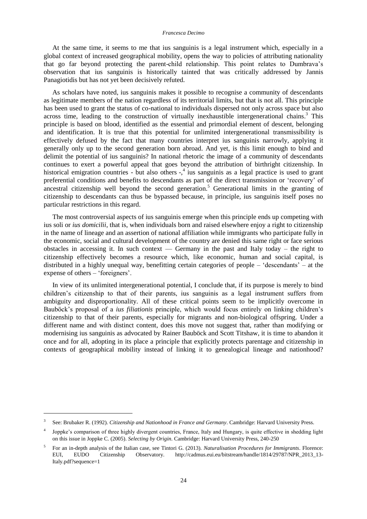At the same time, it seems to me that ius sanguinis is a legal instrument which, especially in a global context of increased geographical mobility, opens the way to policies of attributing nationality that go far beyond protecting the parent-child relationship. This point relates to Dumbrava's observation that ius sanguinis is historically tainted that was critically addressed by Jannis Panagiotidis but has not yet been decisively refuted.

As scholars have noted, ius sanguinis makes it possible to recognise a community of descendants as legitimate members of the nation regardless of its territorial limits, but that is not all. This principle has been used to grant the status of co-national to individuals dispersed not only across space but also across time, leading to the construction of virtually inexhaustible intergenerational chains.<sup>3</sup> This principle is based on blood, identified as the essential and primordial element of descent, belonging and identification. It is true that this potential for unlimited intergenerational transmissibility is effectively defused by the fact that many countries interpret ius sanguinis narrowly, applying it generally only up to the second generation born abroad. And yet, is this limit enough to bind and delimit the potential of ius sanguinis? In national rhetoric the image of a community of descendants continues to exert a powerful appeal that goes beyond the attribution of birthright citizenship. In historical emigration countries - but also others -,<sup>4</sup> ius sanguinis as a legal practice is used to grant preferential conditions and benefits to descendants as part of the direct transmission or 'recovery' of ancestral citizenship well beyond the second generation.<sup>5</sup> Generational limits in the granting of citizenship to descendants can thus be bypassed because, in principle, ius sanguinis itself poses no particular restrictions in this regard.

The most controversial aspects of ius sanguinis emerge when this principle ends up competing with ius soli or *ius domicilii*, that is, when individuals born and raised elsewhere enjoy a right to citizenship in the name of lineage and an assertion of national affiliation while immigrants who participate fully in the economic, social and cultural development of the country are denied this same right or face serious obstacles in accessing it. In such context — Germany in the past and Italy today – the right to citizenship effectively becomes a resource which, like economic, human and social capital, is distributed in a highly unequal way, benefitting certain categories of people – 'descendants' – at the expense of others – 'foreigners'.

In view of its unlimited intergenerational potential, I conclude that, if its purpose is merely to bind children's citizenship to that of their parents, ius sanguinis as a legal instrument suffers from ambiguity and disproportionality. All of these critical points seem to be implicitly overcome in Bauböck's proposal of a *ius filiationis* principle, which would focus entirely on linking children's citizenship to that of their parents, especially for migrants and non-biological offspring. Under a different name and with distinct content, does this move not suggest that, rather than modifying or modernising ius sanguinis as advocated by Rainer Bauböck and Scott Titshaw, it is time to abandon it once and for all, adopting in its place a principle that explicitly protects parentage and citizenship in contexts of geographical mobility instead of linking it to genealogical lineage and nationhood?

<sup>3</sup> See: Brubaker R. (1992). *Citizenship and Nationhood in France and Germany*. Cambridge: Harvard University Press.

<sup>4</sup> Joppke's comparison of three highly divergent countries, France, Italy and Hungary, is quite effective in shedding light on this issue in Joppke C. (2005). *Selecting by Origin*. Cambridge: Harvard University Press, 240-250

<sup>5</sup> For an in-depth analysis of the Italian case, see Tintori G. (2013). *Naturalisation Procedures for Immigrants*. Florence: EUI, EUDO Citizenship Observatory. [http://cadmus.eui.eu/bitstream/handle/1814/29787/NPR\\_2013\\_13-](http://cadmus.eui.eu/bitstream/handle/1814/29787/NPR_2013_13-Italy.pdf?sequence=1) [Italy.pdf?sequence=1](http://cadmus.eui.eu/bitstream/handle/1814/29787/NPR_2013_13-Italy.pdf?sequence=1)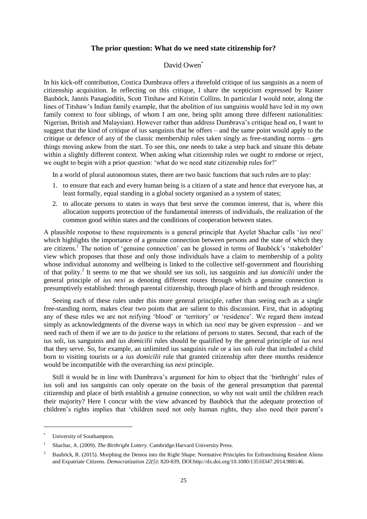#### **The prior question: What do we need state citizenship for?**

# [David Owen](http://eudo-citizenship.eu/about/people/other-eudo-citizenship-collaborators/611-owen)\*

<span id="page-32-1"></span><span id="page-32-0"></span>In his kick-off contribution, Costica Dumbrava offers a threefold critique of ius sanguinis as a norm of citizenship acquisition. In reflecting on this critique, I share the scepticism expressed by Rainer Bauböck, Jannis Panagioditis, Scott Titshaw and Kristin Collins. In particular I would note, along the lines of Titshaw's Indian family example, that the abolition of ius sanguinis would have led in my own family context to four siblings, of whom I am one, being split among three different nationalities: Nigerian, British and Malaysian). However rather than address Dumbrava's critique head on, I want to suggest that the kind of critique of ius sanguinis that he offers – and the same point would apply to the critique or defence of any of the classic membership rules taken singly as free-standing norms – gets things moving askew from the start. To see this, one needs to take a step back and situate this debate within a slightly different context. When asking what citizenship rules we ought to endorse or reject, we ought to begin with a prior question: 'what do we need state citizenship rules for?'

In a world of plural autonomous states, there are two basic functions that such rules are to play:

- 1. to ensure that each and every human being is a citizen of a state and hence that everyone has, at least formally, equal standing in a global society organised as a system of states;
- 2. to allocate persons to states in ways that best serve the common interest, that is, where this allocation supports protection of the fundamental interests of individuals, the realization of the common good within states and the conditions of cooperation between states.

A plausible response to these requirements is a general principle that Ayelet Shachar calls '*ius nexi*' which highlights the importance of a genuine connection between persons and the state of which they are citizens.<sup>1</sup> The notion of 'genuine connection' can be glossed in terms of Bauböck's 'stakeholder' view which proposes that those and only those individuals have a claim to membership of a polity whose individual autonomy and wellbeing is linked to the collective self-government and flourishing of that polity. 2 It seems to me that we should see ius soli, ius sanguinis and *ius domicilii* under the general principle of *ius nexi* as denoting different routes through which a genuine connection is presumptively established: through parental citizenship, through place of birth and through residence.

Seeing each of these rules under this more general principle, rather than seeing each as a single free-standing norm, makes clear two points that are salient to this discussion. First, that in adopting any of these rules we are not reifying 'blood' or 'territory' or 'residence'. We regard them instead simply as acknowledgments of the diverse ways in which *ius nexi* may be given expression – and we need each of them if we are to do justice to the relations of persons to states. Second, that each of the ius soli, ius sanguinis and *ius domicilii* rules should be qualified by the general principle of *ius nexi* that they serve. So, for example, an unlimited ius sanguinis rule or a ius soli rule that included a child born to visiting tourists or a *ius domicilii* rule that granted citizenship after three months residence would be incompatible with the overarching *ius nexi* principle.

Still it would be in line with Dumbrava's argument for him to object that the 'birthright' rules of ius soli and ius sanguinis can only operate on the basis of the general presumption that parental citizenship and place of birth establish a genuine connection, so why not wait until the children reach their majority? Here I concur with the view advanced by Bauböck that the adequate protection of children's rights implies that 'children need not only human rights, they also need their parent's

University of Southampton.

<sup>1</sup> Shachar, A. (2009). *The Birthright Lottery*. Cambridge:Harvard University Press.

<sup>2</sup> Bauböck, R. (2015). Morphing the Demos into the Right Shape. Normative Principles for Enfranchising Resident Aliens and Expatriate Citizens. *Democratization 22(5)*: 820-839, DOI:[http://dx.doi.org/10.1080/13510347.2014.988146.](http://dx.doi.org/10.1080/13510347.2014.988146)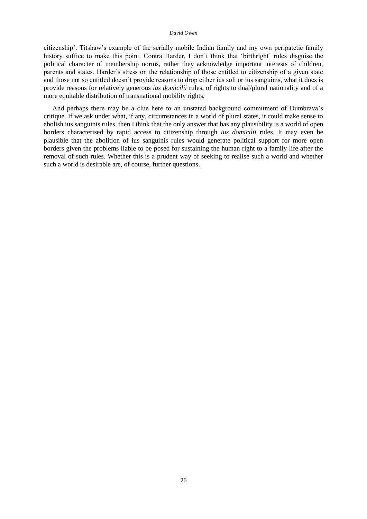#### *David Owen*

citizenship'. Titshaw's example of the serially mobile Indian family and my own peripatetic family history suffice to make this point. Contra Harder, I don't think that 'birthright' rules disguise the political character of membership norms, rather they acknowledge important interests of children, parents and states. Harder's stress on the relationship of those entitled to citizenship of a given state and those not so entitled doesn't provide reasons to drop either ius soli or ius sanguinis, what it does is provide reasons for relatively generous *ius domicilii* rules, of rights to dual/plural nationality and of a more equitable distribution of transnational mobility rights.

And perhaps there may be a clue here to an unstated background commitment of Dumbrava's critique. If we ask under what, if any, circumstances in a world of plural states, it could make sense to abolish ius sanguinis rules, then I think that the only answer that has any plausibility is a world of open borders characterised by rapid access to citizenship through *ius domicilii* rules. It may even be plausible that the abolition of ius sanguinis rules would generate political support for more open borders given the problems liable to be posed for sustaining the human right to a family life after the removal of such rules. Whether this is a prudent way of seeking to realise such a world and whether such a world is desirable are, of course, further questions.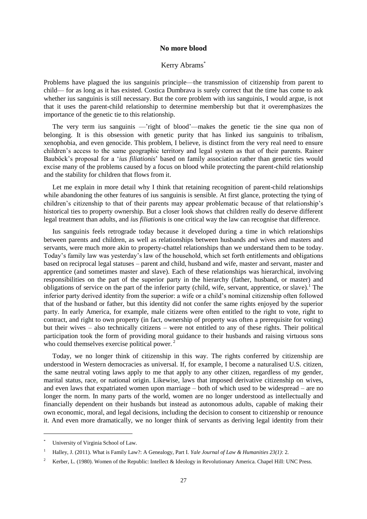#### **No more blood**

#### [Kerry Abrams](http://eudo-citizenship.eu/about/people/other-eudo-citizenship-collaborators/1438-abrams-kelly)\*

<span id="page-34-1"></span><span id="page-34-0"></span>Problems have plagued the ius sanguinis principle—the transmission of citizenship from parent to child— for as long as it has existed. Costica Dumbrava is surely correct that the time has come to ask whether ius sanguinis is still necessary. But the core problem with ius sanguinis, I would argue, is not that it uses the parent-child relationship to determine membership but that it overemphasizes the importance of the genetic tie to this relationship.

The very term ius sanguinis —'right of blood'—makes the genetic tie the sine qua non of belonging. It is this obsession with genetic purity that has linked ius sanguinis to tribalism, xenophobia, and even genocide. This problem, I believe, is distinct from the very real need to ensure children's access to the same geographic territory and legal system as that of their parents. Rainer Bauböck's proposal for a '*ius filiationis*' based on family association rather than genetic ties would excise many of the problems caused by a focus on blood while protecting the parent-child relationship and the stability for children that flows from it.

Let me explain in more detail why I think that retaining recognition of parent-child relationships while abandoning the other features of ius sanguinis is sensible. At first glance, protecting the tying of children's citizenship to that of their parents may appear problematic because of that relationship's historical ties to property ownership. But a closer look shows that children really do deserve different legal treatment than adults, and *ius filiationis* is one critical way the law can recognise that difference.

Ius sanguinis feels retrograde today because it developed during a time in which relationships between parents and children, as well as relationships between husbands and wives and masters and servants, were much more akin to property-chattel relationships than we understand them to be today. Today's family law was yesterday's law of the household, which set forth entitlements and obligations based on reciprocal legal statuses – parent and child, husband and wife, master and servant, master and apprentice (and sometimes master and slave). Each of these relationships was hierarchical, involving responsibilities on the part of the superior party in the hierarchy (father, husband, or master) and obligations of service on the part of the inferior party (child, wife, servant, apprentice, or slave).<sup>1</sup> The inferior party derived identity from the superior: a wife or a child's nominal citizenship often followed that of the husband or father, but this identity did not confer the same rights enjoyed by the superior party. In early America, for example, male citizens were often entitled to the right to vote, right to contract, and right to own property (in fact, ownership of property was often a prerequisite for voting) but their wives – also technically citizens – were not entitled to any of these rights. Their political participation took the form of providing moral guidance to their husbands and raising virtuous sons who could themselves exercise political power.<sup>2</sup>

Today, we no longer think of citizenship in this way. The rights conferred by citizenship are understood in Western democracies as universal. If, for example, I become a naturalised U.S. citizen, the same neutral voting laws apply to me that apply to any other citizen, regardless of my gender, marital status, race, or national origin. Likewise, laws that imposed derivative citizenship on wives, and even laws that expatriated women upon marriage – both of which used to be widespread – are no longer the norm. In many parts of the world, women are no longer understood as intellectually and financially dependent on their husbands but instead as autonomous adults, capable of making their own economic, moral, and legal decisions, including the decision to consent to citizenship or renounce it. And even more dramatically, we no longer think of servants as deriving legal identity from their

University of Virginia School of Law.

<sup>&</sup>lt;sup>1</sup> Halley, J. (2011). What is Family Law?: A Genealogy, Part I. *Yale Journal of Law & Humanities 23(1)*: 2.

<sup>2</sup> Kerber, L. (1980). Women of the Republic: Intellect & Ideology in Revolutionary America. Chapel Hill: UNC Press.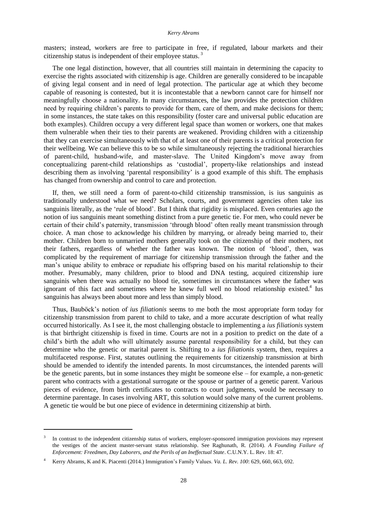#### *Kerry Abrams*

masters; instead, workers are free to participate in free, if regulated, labour markets and their citizenship status is independent of their employee status. <sup>3</sup>

The one legal distinction, however, that all countries still maintain in determining the capacity to exercise the rights associated with citizenship is age. Children are generally considered to be incapable of giving legal consent and in need of legal protection. The particular age at which they become capable of reasoning is contested, but it is incontestable that a newborn cannot care for himself nor meaningfully choose a nationality. In many circumstances, the law provides the protection children need by requiring children's parents to provide for them, care of them, and make decisions for them; in some instances, the state takes on this responsibility (foster care and universal public education are both examples). Children occupy a very different legal space than women or workers, one that makes them vulnerable when their ties to their parents are weakened. Providing children with a citizenship that they can exercise simultaneously with that of at least one of their parents is a critical protection for their wellbeing. We can believe this to be so while simultaneously rejecting the traditional hierarchies of parent-child, husband-wife, and master-slave. The United Kingdom's move away from conceptualizing parent-child relationships as 'custodial', property-like relationships and instead describing them as involving 'parental responsibility' is a good example of this shift. The emphasis has changed from ownership and control to care and protection.

If, then, we still need a form of parent-to-child citizenship transmission, is ius sanguinis as traditionally understood what we need? Scholars, courts, and government agencies often take ius sanguinis literally, as the 'rule of blood'. But I think that rigidity is misplaced. Even centuries ago the notion of ius sanguinis meant something distinct from a pure genetic tie. For men, who could never be certain of their child's paternity, transmission 'through blood' often really meant transmission through choice. A man chose to acknowledge his children by marrying, or already being married to, their mother. Children born to unmarried mothers generally took on the citizenship of their mothers, not their fathers, regardless of whether the father was known. The notion of 'blood', then, was complicated by the requirement of marriage for citizenship transmission through the father and the man's unique ability to embrace or repudiate his offspring based on his marital relationship to their mother. Presumably, many children, prior to blood and DNA testing, acquired citizenship iure sanguinis when there was actually no blood tie, sometimes in circumstances where the father was ignorant of this fact and sometimes where he knew full well no blood relationship existed.<sup>4</sup> Ius sanguinis has always been about more and less than simply blood.

Thus, Bauböck's notion of *ius filiationis* seems to me both the most appropriate form today for citizenship transmission from parent to child to take, and a more accurate description of what really occurred historically. As I see it, the most challenging obstacle to implementing a *ius filiationis* system is that birthright citizenship is fixed in time. Courts are not in a position to predict on the date of a child's birth the adult who will ultimately assume parental responsibility for a child, but they can determine who the genetic or marital parent is. Shifting to a *ius filiationis* system, then, requires a multifaceted response. First, statutes outlining the requirements for citizenship transmission at birth should be amended to identify the intended parents. In most circumstances, the intended parents will be the genetic parents, but in some instances they might be someone else – for example, a non-genetic parent who contracts with a gestational surrogate or the spouse or partner of a genetic parent. Various pieces of evidence, from birth certificates to contracts to court judgments, would be necessary to determine parentage. In cases involving ART, this solution would solve many of the current problems. A genetic tie would be but one piece of evidence in determining citizenship at birth.

<sup>3</sup> In contrast to the independent citizenship status of workers, employer-sponsored immigration provisions may represent the vestiges of the ancient master-servant status relationship. See Raghunath, R. (2014). *A Founding Failure of Enforcement: Freedmen, Day Laborers, and the Perils of an Ineffectual State*. C.U.N.Y. L. Rev. 18: 47.

<sup>4</sup> Kerry Abrams, K and K. Piacenti (2014.) Immigration's Family Values. *Va. L. Rev. 100*: 629, 660, 663, 692.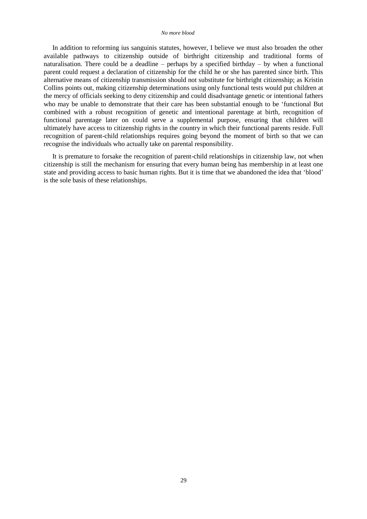#### *No more blood*

In addition to reforming ius sanguinis statutes, however, I believe we must also broaden the other available pathways to citizenship outside of birthright citizenship and traditional forms of naturalisation. There could be a deadline – perhaps by a specified birthday – by when a functional parent could request a declaration of citizenship for the child he or she has parented since birth. This alternative means of citizenship transmission should not substitute for birthright citizenship; as Kristin Collins points out, making citizenship determinations using only functional tests would put children at the mercy of officials seeking to deny citizenship and could disadvantage genetic or intentional fathers who may be unable to demonstrate that their care has been substantial enough to be 'functional But combined with a robust recognition of genetic and intentional parentage at birth, recognition of functional parentage later on could serve a supplemental purpose, ensuring that children will ultimately have access to citizenship rights in the country in which their functional parents reside. Full recognition of parent-child relationships requires going beyond the moment of birth so that we can recognise the individuals who actually take on parental responsibility.

It is premature to forsake the recognition of parent-child relationships in citizenship law, not when citizenship is still the mechanism for ensuring that every human being has membership in at least one state and providing access to basic human rights. But it is time that we abandoned the idea that 'blood' is the sole basis of these relationships.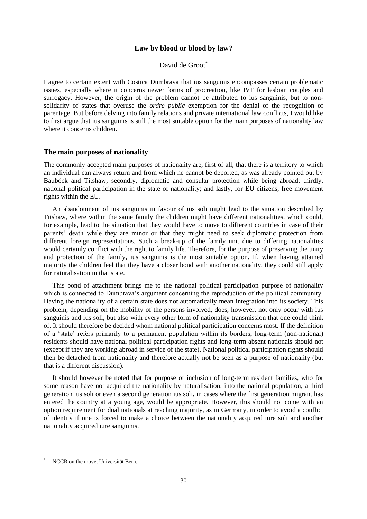#### **Law by blood or blood by law?**

#### [David de Groot](http://eudo-citizenship.eu/about/people/other-eudo-citizenship-collaborators/1446-de-groot-david)<sup>\*</sup>

<span id="page-37-1"></span><span id="page-37-0"></span>I agree to certain extent with Costica Dumbrava that ius sanguinis encompasses certain problematic issues, especially where it concerns newer forms of procreation, like IVF for lesbian couples and surrogacy. However, the origin of the problem cannot be attributed to ius sanguinis, but to nonsolidarity of states that overuse the *ordre public* exemption for the denial of the recognition of parentage. But before delving into family relations and private international law conflicts, I would like to first argue that ius sanguinis is still the most suitable option for the main purposes of nationality law where it concerns children.

#### **The main purposes of nationality**

The commonly accepted main purposes of nationality are, first of all, that there is a territory to which an individual can always return and from which he cannot be deported, as was already pointed out by Bauböck and Titshaw; secondly, diplomatic and consular protection while being abroad; thirdly, national political participation in the state of nationality; and lastly, for EU citizens, free movement rights within the EU.

An abandonment of ius sanguinis in favour of ius soli might lead to the situation described by Titshaw, where within the same family the children might have different nationalities, which could, for example, lead to the situation that they would have to move to different countries in case of their parents' death while they are minor or that they might need to seek diplomatic protection from different foreign representations. Such a break-up of the family unit due to differing nationalities would certainly conflict with the right to family life. Therefore, for the purpose of preserving the unity and protection of the family, ius sanguinis is the most suitable option. If, when having attained majority the children feel that they have a closer bond with another nationality, they could still apply for naturalisation in that state.

This bond of attachment brings me to the national political participation purpose of nationality which is connected to Dumbrava's argument concerning the reproduction of the political community. Having the nationality of a certain state does not automatically mean integration into its society. This problem, depending on the mobility of the persons involved, does, however, not only occur with ius sanguinis and ius soli, but also with every other form of nationality transmission that one could think of. It should therefore be decided whom national political participation concerns most. If the definition of a 'state' refers primarily to a permanent population within its borders, long-term (non-national) residents should have national political participation rights and long-term absent nationals should not (except if they are working abroad in service of the state). National political participation rights should then be detached from nationality and therefore actually not be seen as a purpose of nationality (but that is a different discussion).

It should however be noted that for purpose of inclusion of long-term resident families, who for some reason have not acquired the nationality by naturalisation, into the national population, a third generation ius soli or even a second generation ius soli, in cases where the first generation migrant has entered the country at a young age, would be appropriate. However, this should not come with an option requirement for dual nationals at reaching majority, as in Germany, in order to avoid a conflict of identity if one is forced to make a choice between the nationality acquired iure soli and another nationality acquired iure sanguinis.

NCCR on the move, Universität Bern.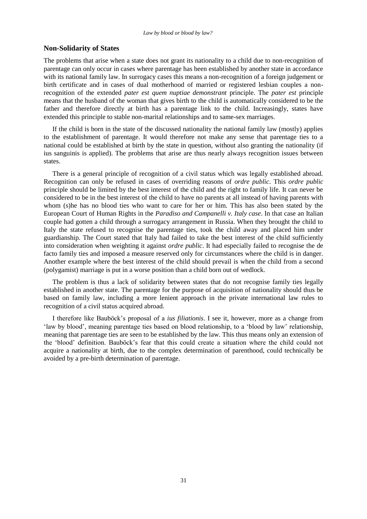#### **Non-Solidarity of States**

The problems that arise when a state does not grant its nationality to a child due to non-recognition of parentage can only occur in cases where parentage has been established by another state in accordance with its national family law. In surrogacy cases this means a non-recognition of a foreign judgement or birth certificate and in cases of dual motherhood of married or registered lesbian couples a nonrecognition of the extended *pater est quem nuptiae demonstrant* principle. The *pater est* principle means that the husband of the woman that gives birth to the child is automatically considered to be the father and therefore directly at birth has a parentage link to the child. Increasingly, states have extended this principle to stable non-marital relationships and to same-sex marriages.

If the child is born in the state of the discussed nationality the national family law (mostly) applies to the establishment of parentage. It would therefore not make any sense that parentage ties to a national could be established at birth by the state in question, without also granting the nationality (if ius sanguinis is applied). The problems that arise are thus nearly always recognition issues between states.

There is a general principle of recognition of a civil status which was legally established abroad. Recognition can only be refused in cases of overriding reasons of *ordre public*. This *ordre public* principle should be limited by the best interest of the child and the right to family life. It can never be considered to be in the best interest of the child to have no parents at all instead of having parents with whom (s)he has no blood ties who want to care for her or him. This has also been stated by the European Court of Human Rights in the *Paradiso and Campanelli v. Italy case*. In that case an Italian couple had gotten a child through a surrogacy arrangement in Russia. When they brought the child to Italy the state refused to recognise the parentage ties, took the child away and placed him under guardianship. The Court stated that Italy had failed to take the best interest of the child sufficiently into consideration when weighting it against *ordre public*. It had especially failed to recognise the de facto family ties and imposed a measure reserved only for circumstances where the child is in danger. Another example where the best interest of the child should prevail is when the child from a second (polygamist) marriage is put in a worse position than a child born out of wedlock.

The problem is thus a lack of solidarity between states that do not recognise family ties legally established in another state. The parentage for the purpose of acquisition of nationality should thus be based on family law, including a more lenient approach in the private international law rules to recognition of a civil status acquired abroad.

I therefore like Bauböck's proposal of a *ius filiationis*. I see it, however, more as a change from 'law by blood', meaning parentage ties based on blood relationship, to a 'blood by law' relationship, meaning that parentage ties are seen to be established by the law. This thus means only an extension of the 'blood' definition. Bauböck's fear that this could create a situation where the child could not acquire a nationality at birth, due to the complex determination of parenthood, could technically be avoided by a pre-birth determination of parentage.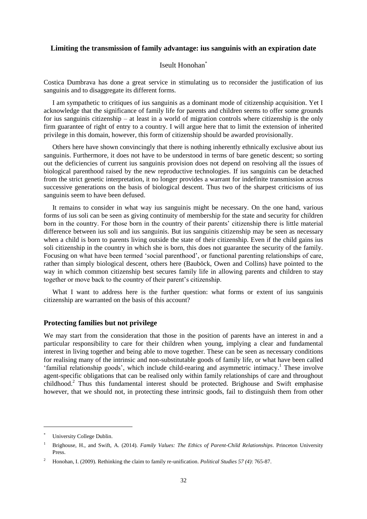#### <span id="page-39-1"></span><span id="page-39-0"></span>**Limiting the transmission of family advantage: ius sanguinis with an expiration date**

# [Iseult Honohan](http://eudo-citizenship.eu/about/people/consortium-members/96-honohan-iseult)\*

Costica Dumbrava has done a great service in stimulating us to reconsider the justification of ius sanguinis and to disaggregate its different forms.

I am sympathetic to critiques of ius sanguinis as a dominant mode of citizenship acquisition. Yet I acknowledge that the significance of family life for parents and children seems to offer some grounds for ius sanguinis citizenship – at least in a world of migration controls where citizenship is the only firm guarantee of right of entry to a country. I will argue here that to limit the extension of inherited privilege in this domain, however, this form of citizenship should be awarded provisionally.

Others here have shown convincingly that there is nothing inherently ethnically exclusive about ius sanguinis. Furthermore, it does not have to be understood in terms of bare genetic descent; so sorting out the deficiencies of current ius sanguinis provision does not depend on resolving all the issues of biological parenthood raised by the new reproductive technologies. If ius sanguinis can be detached from the strict genetic interpretation, it no longer provides a warrant for indefinite transmission across successive generations on the basis of biological descent. Thus two of the sharpest criticisms of ius sanguinis seem to have been defused.

It remains to consider in what way ius sanguinis might be necessary. On the one hand, various forms of ius soli can be seen as giving continuity of membership for the state and security for children born in the country. For those born in the country of their parents' citizenship there is little material difference between ius soli and ius sanguinis. But ius sanguinis citizenship may be seen as necessary when a child is born to parents living outside the state of their citizenship. Even if the child gains ius soli citizenship in the country in which she is born, this does not guarantee the security of the family. Focusing on what have been termed 'social parenthood', or functional parenting relationships of care, rather than simply biological descent, others here (Bauböck, Owen and Collins) have pointed to the way in which common citizenship best secures family life in allowing parents and children to stay together or move back to the country of their parent's citizenship.

What I want to address here is the further question: what forms or extent of ius sanguinis citizenship are warranted on the basis of this account?

#### **Protecting families but not privilege**

We may start from the consideration that those in the position of parents have an interest in and a particular responsibility to care for their children when young, implying a clear and fundamental interest in living together and being able to move together. These can be seen as necessary conditions for realising many of the intrinsic and non-substitutable goods of family life, or what have been called 'familial relationship goods', which include child-rearing and asymmetric intimacy.<sup>1</sup> These involve agent-specific obligations that can be realised only within family relationships of care and throughout childhood.<sup>2</sup> Thus this fundamental interest should be protected. Brighouse and Swift emphasise however, that we should not, in protecting these intrinsic goods, fail to distinguish them from other

University College Dublin.

<sup>&</sup>lt;sup>1</sup> Brighouse, H., and Swift, A. (2014). *Family Values: The Ethics of Parent-Child Relationships*. Princeton University Press.

<sup>2</sup> Honohan, I. (2009). Rethinking the claim to family re-unification. *Political Studies 57 (4)*: 765-87.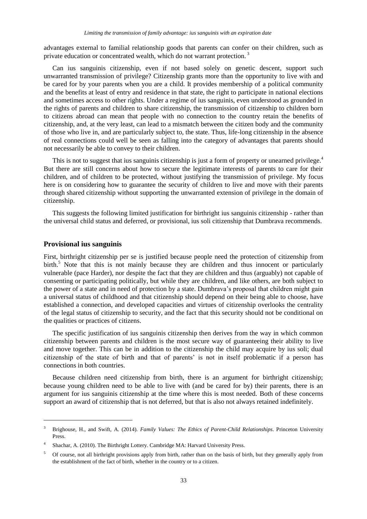advantages external to familial relationship goods that parents can confer on their children, such as private education or concentrated wealth, which do not warrant protection.<sup>3</sup>

Can ius sanguinis citizenship, even if not based solely on genetic descent, support such unwarranted transmission of privilege? Citizenship grants more than the opportunity to live with and be cared for by your parents when you are a child. It provides membership of a political community and the benefits at least of entry and residence in that state, the right to participate in national elections and sometimes access to other rights. Under a regime of ius sanguinis, even understood as grounded in the rights of parents and children to share citizenship, the transmission of citizenship to children born to citizens abroad can mean that people with no connection to the country retain the benefits of citizenship, and, at the very least, can lead to a mismatch between the citizen body and the community of those who live in, and are particularly subject to, the state. Thus, life-long citizenship in the absence of real connections could well be seen as falling into the category of advantages that parents should not necessarily be able to convey to their children.

This is not to suggest that ius sanguinis citizenship is just a form of property or unearned privilege.<sup>4</sup> But there are still concerns about how to secure the legitimate interests of parents to care for their children, and of children to be protected, without justifying the transmission of privilege. My focus here is on considering how to guarantee the security of children to live and move with their parents through shared citizenship without supporting the unwarranted extension of privilege in the domain of citizenship.

This suggests the following limited justification for birthright ius sanguinis citizenship - rather than the universal child status and deferred, or provisional, ius soli citizenship that Dumbrava recommends.

#### **Provisional ius sanguinis**

l

First, birthright citizenship per se is justified because people need the protection of citizenship from birth.<sup>5</sup> Note that this is not mainly because they are children and thus innocent or particularly vulnerable (pace Harder), nor despite the fact that they are children and thus (arguably) not capable of consenting or participating politically, but while they are children, and like others, are both subject to the power of a state and in need of protection by a state. Dumbrava's proposal that children might gain a universal status of childhood and that citizenship should depend on their being able to choose, have established a connection, and developed capacities and virtues of citizenship overlooks the centrality of the legal status of citizenship to security, and the fact that this security should not be conditional on the qualities or practices of citizens.

The specific justification of ius sanguinis citizenship then derives from the way in which common citizenship between parents and children is the most secure way of guaranteeing their ability to live and move together. This can be in addition to the citizenship the child may acquire by ius soli; dual citizenship of the state of birth and that of parents' is not in itself problematic if a person has connections in both countries.

Because children need citizenship from birth, there is an argument for birthright citizenship; because young children need to be able to live with (and be cared for by) their parents, there is an argument for ius sanguinis citizenship at the time where this is most needed. Both of these concerns support an award of citizenship that is not deferred, but that is also not always retained indefinitely.

<sup>3</sup> Brighouse, H., and Swift, A. (2014). *Family Values: The Ethics of Parent-Child Relationships*. Princeton University Press.

<sup>4</sup> Shachar, A. (2010). The Birthright Lottery. Cambridge MA: Harvard University Press.

<sup>&</sup>lt;sup>5</sup> Of course, not all birthright provisions apply from birth, rather than on the basis of birth, but they generally apply from the establishment of the fact of birth, whether in the country or to a citizen.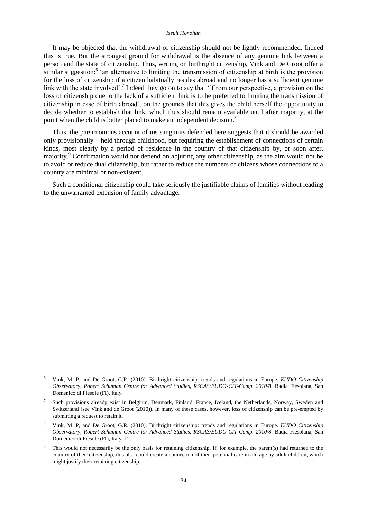#### *Iseult Honohan*

It may be objected that the withdrawal of citizenship should not be lightly recommended. Indeed this is true. But the strongest ground for withdrawal is the absence of any genuine link between a person and the state of citizenship. Thus, writing on birthright citizenship, Vink and De Groot offer a similar suggestion:<sup>6</sup> 'an alternative to limiting the transmission of citizenship at birth is the provision for the loss of citizenship if a citizen habitually resides abroad and no longer has a sufficient genuine link with the state involved'.<sup>7</sup> Indeed they go on to say that '[f]rom our perspective, a provision on the loss of citizenship due to the lack of a sufficient link is to be preferred to limiting the transmission of citizenship in case of birth abroad', on the grounds that this gives the child herself the opportunity to decide whether to establish that link, which thus should remain available until after majority, at the point when the child is better placed to make an independent decision.<sup>8</sup>

Thus, the parsimonious account of ius sanguinis defended here suggests that it should be awarded only provisionally – held through childhood, but requiring the establishment of connections of certain kinds, most clearly by a period of residence in the country of that citizenship by, or soon after, majority. <sup>9</sup> Confirmation would not depend on abjuring any other citizenship, as the aim would not be to avoid or reduce dual citizenship, but rather to reduce the numbers of citizens whose connections to a country are minimal or non-existent.

Such a conditional citizenship could take seriously the justifiable claims of families without leading to the unwarranted extension of family advantage.

<sup>6</sup> Vink, M. P, and De Groot, G.R. (2010). Birthright citizenship: trends and regulations in Europe. *EUDO Citizenship Observatory, Robert Schuman Centre for Advanced Studies, RSCAS/EUDO-CIT-Comp. 2010/8*. Badia Fiesolana, San Domenico di Fiesole (FI), Italy.

<sup>7</sup> Such provisions already exist in Belgium, Denmark, Finland, France, Iceland, the Netherlands, Norway, Sweden and Switzerland (see Vink and de Groot (2010)). In many of these cases, however, loss of citizenship can be pre-empted by submitting a request to retain it.

<sup>8</sup> Vink, M. P, and De Groot, G.R. (2010). Birthright citizenship: trends and regulations in Europe. *EUDO Citizenship Observatory, Robert Schuman Centre for Advanced Studies, RSCAS/EUDO-CIT-Comp. 2010/8*. Badia Fiesolana, San Domenico di Fiesole (FI), Italy, 12.

This would not necessarily be the only basis for retaining citizenship. If, for example, the parent(s) had returned to the country of their citizenship, this also could create a connection of their potential care in old age by adult children, which might justify their retaining citizenship.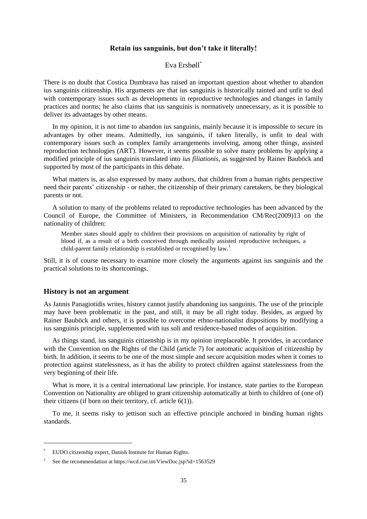# **Retain ius sanguinis, but don't take it literally!**

# [Eva Ersbøll](http://eudo-citizenship.eu/about/people/country-experts/48-evaersboll-)\*

<span id="page-42-1"></span><span id="page-42-0"></span>There is no doubt that Costica Dumbrava has raised an important question about whether to abandon ius sanguinis citizenship. His arguments are that ius sanguinis is historically tainted and unfit to deal with contemporary issues such as developments in reproductive technologies and changes in family practices and norms; he also claims that ius sanguinis is normatively unnecessary, as it is possible to deliver its advantages by other means.

In my opinion, it is not time to abandon ius sanguinis, mainly because it is impossible to secure its advantages by other means. Admittedly, ius sanguinis, if taken literally, is unfit to deal with contemporary issues such as complex family arrangements involving, among other things, assisted reproduction technologies (ART). However, it seems possible to solve many problems by applying a modified principle of ius sanguinis translated into *ius filiationis*, as suggested by Rainer Bauböck and supported by most of the participants in this debate.

What matters is, as also expressed by many authors, that children from a human rights perspective need their parents' citizenship - or rather, the citizenship of their primary caretakers, be they biological parents or not.

A solution to many of the problems related to reproductive technologies has been advanced by the Council of Europe, the Committee of Ministers, in Recommendation CM/Rec(2009)13 on the nationality of children:

Member states should apply to children their provisions on acquisition of nationality by right of blood if, as a result of a birth conceived through medically assisted reproductive techniques, a child-parent family relationship is established or recognised by law.<sup>1</sup>

Still, it is of course necessary to examine more closely the arguments against ius sanguinis and the practical solutions to its shortcomings.

#### **History is not an argument**

l

As Jannis Panagiotidis writes, history cannot justify abandoning ius sanguinis. The use of the principle may have been problematic in the past, and still, it may be all right today. Besides, as argued by Rainer Bauböck and others, it is possible to overcome ethno-nationalist dispositions by modifying a ius sanguinis principle, supplemented with ius soli and residence-based modes of acquisition.

As things stand, ius sanguinis citizenship is in my opinion irreplaceable. It provides, in accordance with the Convention on the Rights of the Child (article 7) for automatic acquisition of citizenship by birth. In addition, it seems to be one of the most simple and secure acquisition modes when it comes to protection against statelessness, as it has the ability to protect children against statelessness from the very beginning of their life.

What is more, it is a central international law principle. For instance, state parties to the European Convention on Nationality are obliged to grant citizenship automatically at birth to children of (one of) their citizens (if born on their territory, cf. article 6(1)).

To me, it seems risky to jettison such an effective principle anchored in binding human rights standards.

EUDO citizenship expert, Danish Institute for Human Rights.

<sup>1</sup> See the recommendation at<https://wcd.coe.int/ViewDoc.jsp?id=1563529>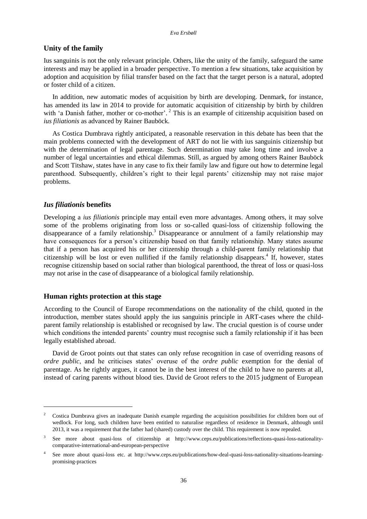#### *Eva Ersbøll*

#### **Unity of the family**

Ius sanguinis is not the only relevant principle. Others, like the unity of the family, safeguard the same interests and may be applied in a broader perspective. To mention a few situations, take acquisition by adoption and acquisition by filial transfer based on the fact that the target person is a natural, adopted or foster child of a citizen.

In addition, new automatic modes of acquisition by birth are developing. Denmark, for instance, has amended its law in 2014 to provide for automatic acquisition of citizenship by birth by children with 'a Danish father, mother or co-mother'.<sup>2</sup> This is an example of citizenship acquisition based on *ius filiationis* as advanced by Rainer Bauböck.

As Costica Dumbrava rightly anticipated, a reasonable reservation in this debate has been that the main problems connected with the development of ART do not lie with ius sanguinis citizenship but with the determination of legal parentage. Such determination may take long time and involve a number of legal uncertainties and ethical dilemmas. Still, as argued by among others Rainer Bauböck and Scott Titshaw, states have in any case to fix their family law and figure out how to determine legal parenthood. Subsequently, children's right to their legal parents' citizenship may not raise major problems.

#### *Ius filiationis* **benefits**

l

Developing a *ius filiationis* principle may entail even more advantages. Among others, it may solve some of the problems originating from loss or so-called quasi-loss of citizenship following the disappearance of a family relationship.<sup>3</sup> Disappearance or annulment of a family relationship may have consequences for a person's citizenship based on that family relationship. Many states assume that if a person has acquired his or her citizenship through a child-parent family relationship that citizenship will be lost or even nullified if the family relationship disappears. 4 If, however, states recognise citizenship based on social rather than biological parenthood, the threat of loss or quasi-loss may not arise in the case of disappearance of a biological family relationship.

#### **Human rights protection at this stage**

According to the Council of Europe recommendations on the nationality of the child, quoted in the introduction, member states should apply the ius sanguinis principle in ART-cases where the childparent family relationship is established or recognised by law. The crucial question is of course under which conditions the intended parents' country must recognise such a family relationship if it has been legally established abroad.

David de Groot points out that states can only refuse recognition in case of overriding reasons of *ordre public*, and he criticises states' overuse of the *ordre public* exemption for the denial of parentage. As he rightly argues, it cannot be in the best interest of the child to have no parents at all, instead of caring parents without blood ties. David de Groot refers to the 2015 judgment of European

<sup>2</sup> Costica Dumbrava gives an inadequate Danish example regarding the acquisition possibilities for children born out of wedlock. For long, such children have been entitled to naturalise regardless of residence in Denmark, although until 2013, it was a requirement that the father had (shared) custody over the child. This requirement is now repealed.

<sup>3</sup> See more about quasi-loss of citizenship at [http://www.ceps.eu/publications/reflections-quasi-loss-nationality](http://www.ceps.eu/publications/reflections-quasi-loss-nationality-comparative-international-and-european-perspective)[comparative-international-and-european-perspective](http://www.ceps.eu/publications/reflections-quasi-loss-nationality-comparative-international-and-european-perspective)

<sup>4</sup> See more about quasi-loss etc. at [http://www.ceps.eu/publications/how-deal-quasi-loss-nationality-situations-learning](http://www.ceps.eu/publications/how-deal-quasi-loss-nationality-situations-learning-promising-practices)[promising-practices](http://www.ceps.eu/publications/how-deal-quasi-loss-nationality-situations-learning-promising-practices)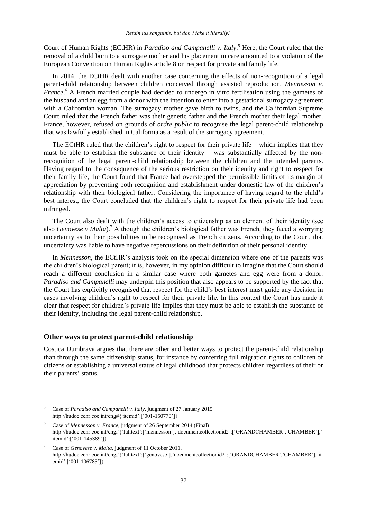Court of Human Rights (ECtHR) in *Paradiso and Campanelli v. Italy*. <sup>5</sup> Here, the Court ruled that the removal of a child born to a surrogate mother and his placement in care amounted to a violation of the European Convention on Human Rights article 8 on respect for private and family life.

In 2014, the ECtHR dealt with another case concerning the effects of non-recognition of a legal parent-child relationship between children conceived through assisted reproduction, *Mennesson v. France*. <sup>6</sup> A French married couple had decided to undergo in vitro fertilisation using the gametes of the husband and an egg from a donor with the intention to enter into a gestational surrogacy agreement with a Californian woman. The surrogacy mother gave birth to twins, and the Californian Supreme Court ruled that the French father was their genetic father and the French mother their legal mother. France, however, refused on grounds of *ordre public* to recognise the legal parent-child relationship that was lawfully established in California as a result of the surrogacy agreement.

The ECtHR ruled that the children's right to respect for their private life – which implies that they must be able to establish the substance of their identity – was substantially affected by the nonrecognition of the legal parent-child relationship between the children and the intended parents. Having regard to the consequence of the serious restriction on their identity and right to respect for their family life, the Court found that France had overstepped the permissible limits of its margin of appreciation by preventing both recognition and establishment under domestic law of the children's relationship with their biological father. Considering the importance of having regard to the child's best interest, the Court concluded that the children's right to respect for their private life had been infringed.

The Court also dealt with the children's access to citizenship as an element of their identity (see also *Genovese v Malta*). <sup>7</sup> Although the children's biological father was French, they faced a worrying uncertainty as to their possibilities to be recognised as French citizens. According to the Court, that uncertainty was liable to have negative repercussions on their definition of their personal identity.

In *Mennesson*, the ECtHR's analysis took on the special dimension where one of the parents was the children's biological parent; it is, however, in my opinion difficult to imagine that the Court should reach a different conclusion in a similar case where both gametes and egg were from a donor. *Paradiso and Campanelli* may underpin this position that also appears to be supported by the fact that the Court has explicitly recognised that respect for the child's best interest must guide any decision in cases involving children's right to respect for their private life. In this context the Court has made it clear that respect for children's private life implies that they must be able to establish the substance of their identity, including the legal parent-child relationship.

#### **Other ways to protect parent-child relationship**

l

Costica Dumbrava argues that there are other and better ways to protect the parent-child relationship than through the same citizenship status, for instance by conferring full migration rights to children of citizens or establishing a universal status of legal childhood that protects children regardless of their or their parents' status.

<sup>5</sup> Case of *Paradiso and Campanelli v. Italy*, judgment of 27 January 2015 [http://hudoc.echr.coe.int/eng#{'itemid':\['001-150770](http://hudoc.echr.coe.int/eng#{)']}

<sup>6</sup> Case of *Mennesson v. France*, judgment of 26 September 2014 (Final) [http://hudoc.echr.coe.int/eng#{'fulltext':\['mennesson'\],'documentcollectionid2':\['GRANDCHAMBER','CHAMBER'\],'](http://hudoc.echr.coe.int/eng#{) [itemid':\['001-145389'](http://hudoc.echr.coe.int/eng#{)]}

Case of *Genovese v. Malta*, judgment of 11 October 2011. [http://hudoc.echr.coe.int/eng#{'fulltext':\['genovese'\],'documentcollectionid2':\['GRANDCHAMBER','CHAMBER'\],'it](http://hudoc.echr.coe.int/eng#{) [emid':\['001-106785'](http://hudoc.echr.coe.int/eng#{)]}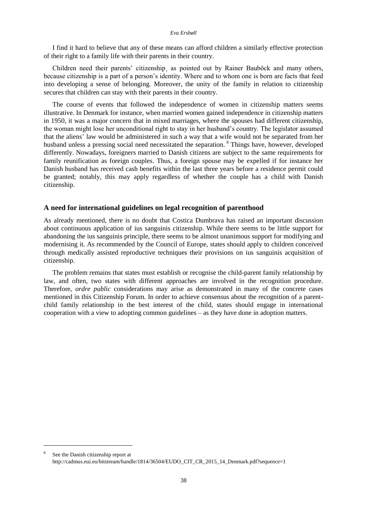I find it hard to believe that any of these means can afford children a similarly effective protection of their right to a family life with their parents in their country.

Children need their parents' citizenship, as pointed out by Rainer Bauböck and many others, because citizenship is a part of a person's identity. Where and to whom one is born are facts that feed into developing a sense of belonging. Moreover, the unity of the family in relation to citizenship secures that children can stay with their parents in their country.

The course of events that followed the independence of women in citizenship matters seems illustrative. In Denmark for instance, when married women gained independence in citizenship matters in 1950, it was a major concern that in mixed marriages, where the spouses had different citizenship, the woman might lose her unconditional right to stay in her husband's country. The legislator assumed that the aliens' law would be administered in such a way that a wife would not be separated from her husband unless a pressing social need necessitated the separation. <sup>8</sup> Things have, however, developed differently. Nowadays, foreigners married to Danish citizens are subject to the same requirements for family reunification as foreign couples. Thus, a foreign spouse may be expelled if for instance her Danish husband has received cash benefits within the last three years before a residence permit could be granted; notably, this may apply regardless of whether the couple has a child with Danish citizenship.

#### **A need for international guidelines on legal recognition of parenthood**

As already mentioned, there is no doubt that Costica Dumbrava has raised an important discussion about continuous application of ius sanguinis citizenship. While there seems to be little support for abandoning the ius sanguinis principle, there seems to be almost unanimous support for modifying and modernising it. As recommended by the Council of Europe, states should apply to children conceived through medically assisted reproductive techniques their provisions on ius sanguinis acquisition of citizenship.

The problem remains that states must establish or recognise the child-parent family relationship by law, and often, two states with different approaches are involved in the recognition procedure. Therefore, *ordre public* considerations may arise as demonstrated in many of the concrete cases mentioned in this Citizenship Forum. In order to achieve consensus about the recognition of a parentchild family relationship in the best interest of the child, states should engage in international cooperation with a view to adopting common guidelines – as they have done in adoption matters.

<sup>8</sup> See the Danish citizenship report at [http://cadmus.eui.eu/bitstream/handle/1814/36504/EUDO\\_CIT\\_CR\\_2015\\_14\\_Denmark.pdf?sequence=1](http://cadmus.eui.eu/bitstream/handle/1814/36504/EUDO_CIT_CR_2015_14_Denmark.pdf?sequence=1)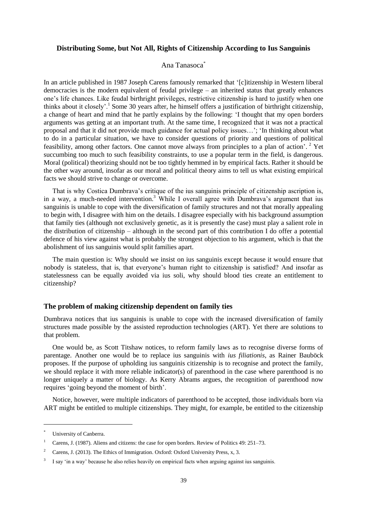#### <span id="page-46-1"></span><span id="page-46-0"></span>**Distributing Some, but Not All, Rights of Citizenship According to Ius Sanguinis**

## [Ana Tanasoca](http://eudo-citizenship.eu/about/people/other-eudo-citizenship-collaborators/1461-tanasoca-ana)\*

In an article published in 1987 Joseph Carens famously remarked that '[c]itizenship in Western liberal democracies is the modern equivalent of feudal privilege – an inherited status that greatly enhances one's life chances. Like feudal birthright privileges, restrictive citizenship is hard to justify when one thinks about it closely'.<sup>1</sup> Some 30 years after, he himself offers a justification of birthright citizenship, a change of heart and mind that he partly explains by the following: 'I thought that my open borders arguments was getting at an important truth. At the same time, I recognized that it was not a practical proposal and that it did not provide much guidance for actual policy issues…'; 'In thinking about what to do in a particular situation, we have to consider questions of priority and questions of political feasibility, among other factors. One cannot move always from principles to a plan of action'.<sup>2</sup> Yet succumbing too much to such feasibility constraints, to use a popular term in the field, is dangerous. Moral (political) theorizing should not be too tightly hemmed in by empirical facts. Rather it should be the other way around, insofar as our moral and political theory aims to tell us what existing empirical facts we should strive to change or overcome.

That is why Costica Dumbrava's critique of the ius sanguinis principle of citizenship ascription is, in a way, a much-needed intervention.<sup>3</sup> While I overall agree with Dumbrava's argument that ius sanguinis is unable to cope with the diversification of family structures and not that morally appealing to begin with, I disagree with him on the details. I disagree especially with his background assumption that family ties (although not exclusively genetic, as it is presently the case) must play a salient role in the distribution of citizenship – although in the second part of this contribution I do offer a potential defence of his view against what is probably the strongest objection to his argument, which is that the abolishment of ius sanguinis would split families apart.

The main question is: Why should we insist on ius sanguinis except because it would ensure that nobody is stateless, that is, that everyone's human right to citizenship is satisfied? And insofar as statelessness can be equally avoided via ius soli, why should blood ties create an entitlement to citizenship?

## **The problem of making citizenship dependent on family ties**

Dumbrava notices that ius sanguinis is unable to cope with the increased diversification of family structures made possible by the assisted reproduction technologies (ART). Yet there are solutions to that problem.

One would be, as Scott Titshaw notices, to reform family laws as to recognise diverse forms of parentage. Another one would be to replace ius sanguinis with *ius filiationis*, as Rainer Bauböck proposes. If the purpose of upholding ius sanguinis citizenship is to recognise and protect the family, we should replace it with more reliable indicator(s) of parenthood in the case where parenthood is no longer uniquely a matter of biology. As Kerry Abrams argues, the recognition of parenthood now requires 'going beyond the moment of birth'.

Notice, however, were multiple indicators of parenthood to be accepted, those individuals born via ART might be entitled to multiple citizenships. They might, for example, be entitled to the citizenship

University of Canberra.

Carens, J. (1987). Aliens and citizens: the case for open borders. Review of Politics 49: 251–73.

<sup>&</sup>lt;sup>2</sup> Carens, J. (2013). The Ethics of Immigration. Oxford: Oxford University Press, x, 3.

<sup>3</sup> I say 'in a way' because he also relies heavily on empirical facts when arguing against ius sanguinis.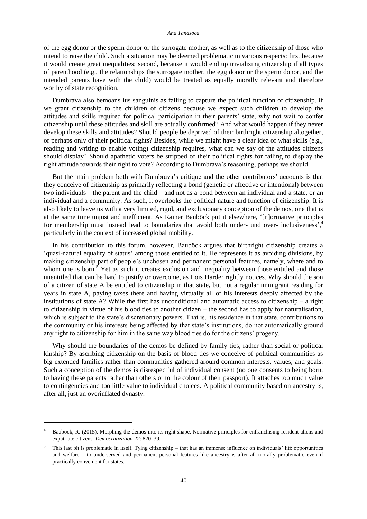of the egg donor or the sperm donor or the surrogate mother, as well as to the citizenship of those who intend to raise the child. Such a situation may be deemed problematic in various respects: first because it would create great inequalities; second, because it would end up trivializing citizenship if all types of parenthood (e.g., the relationships the surrogate mother, the egg donor or the sperm donor, and the intended parents have with the child) would be treated as equally morally relevant and therefore worthy of state recognition.

Dumbrava also bemoans ius sanguinis as failing to capture the political function of citizenship. If we grant citizenship to the children of citizens because we expect such children to develop the attitudes and skills required for political participation in their parents' state, why not wait to confer citizenship until these attitudes and skill are actually confirmed? And what would happen if they never develop these skills and attitudes? Should people be deprived of their birthright citizenship altogether, or perhaps only of their political rights? Besides, while we might have a clear idea of what skills (e.g., reading and writing to enable voting) citizenship requires, what can we say of the attitudes citizens should display? Should apathetic voters be stripped of their political rights for failing to display the right attitude towards their right to vote? According to Dumbrava's reasoning, perhaps we should.

But the main problem both with Dumbrava's critique and the other contributors' accounts is that they conceive of citizenship as primarily reflecting a bond (genetic or affective or intentional) between two individuals—the parent and the child – and not as a bond between an individual and a state, or an individual and a community. As such, it overlooks the political nature and function of citizenship. It is also likely to leave us with a very limited, rigid, and exclusionary conception of the demos, one that is at the same time unjust and inefficient. As Rainer Bauböck put it elsewhere, '[n]ormative principles for membership must instead lead to boundaries that avoid both under- und over- inclusiveness',<sup>4</sup> particularly in the context of increased global mobility.

In his contribution to this forum, however, Bauböck argues that birthright citizenship creates a 'quasi-natural equality of status' among those entitled to it. He represents it as avoiding divisions, by making citizenship part of people's unchosen and permanent personal features, namely, where and to whom one is born.<sup>5</sup> Yet as such it creates exclusion and inequality between those entitled and those unentitled that can be hard to justify or overcome, as Lois Harder rightly notices. Why should the son of a citizen of state A be entitled to citizenship in that state, but not a regular immigrant residing for years in state A, paying taxes there and having virtually all of his interests deeply affected by the institutions of state  $A$ ? While the first has unconditional and automatic access to citizenship – a right to citizenship in virtue of his blood ties to another citizen – the second has to apply for naturalisation, which is subject to the state's discretionary powers. That is, his residence in that state, contributions to the community or his interests being affected by that state's institutions, do not automatically ground any right to citizenship for him in the same way blood ties do for the citizens' progeny.

Why should the boundaries of the demos be defined by family ties, rather than social or political kinship? By ascribing citizenship on the basis of blood ties we conceive of political communities as big extended families rather than communities gathered around common interests, values, and goals. Such a conception of the demos is disrespectful of individual consent (no one consents to being born, to having these parents rather than others or to the colour of their passport). It attaches too much value to contingencies and too little value to individual choices. A political community based on ancestry is, after all, just an overinflated dynasty.

<sup>4</sup> Bauböck, R. (2015). Morphing the demos into its right shape. Normative principles for enfranchising resident aliens and expatriate citizens. *Democratization 22*: 820–39.

<sup>5</sup> This last bit is problematic in itself. Tying citizenship – that has an immense influence on individuals' life opportunities and welfare – to underserved and permanent personal features like ancestry is after all morally problematic even if practically convenient for states.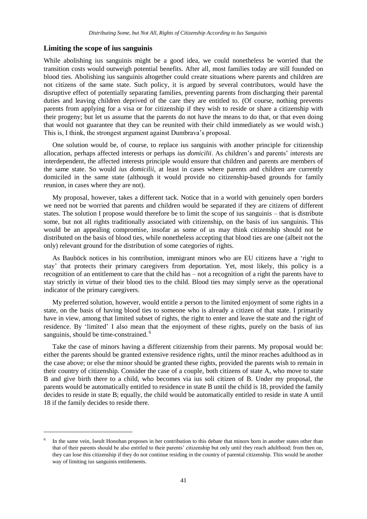#### **Limiting the scope of ius sanguinis**

l

While abolishing ius sanguinis might be a good idea, we could nonetheless be worried that the transition costs would outweigh potential benefits. After all, most families today are still founded on blood ties. Abolishing ius sanguinis altogether could create situations where parents and children are not citizens of the same state. Such policy, it is argued by several contributors, would have the disruptive effect of potentially separating families, preventing parents from discharging their parental duties and leaving children deprived of the care they are entitled to. (Of course, nothing prevents parents from applying for a visa or for citizenship if they wish to reside or share a citizenship with their progeny; but let us assume that the parents do not have the means to do that, or that even doing that would not guarantee that they can be reunited with their child immediately as we would wish.) This is, I think, the strongest argument against Dumbrava's proposal.

One solution would be, of course, to replace ius sanguinis with another principle for citizenship allocation, perhaps affected interests or perhaps *ius domicilii*. As children's and parents' interests are interdependent, the affected interests principle would ensure that children and parents are members of the same state. So would *ius domicilii*, at least in cases where parents and children are currently domiciled in the same state (although it would provide no citizenship-based grounds for family reunion, in cases where they are not).

My proposal, however, takes a different tack. Notice that in a world with genuinely open borders we need not be worried that parents and children would be separated if they are citizens of different states. The solution I propose would therefore be to limit the scope of ius sanguinis – that is distribute some, but not all rights traditionally associated with citizenship, on the basis of ius sanguinis. This would be an appealing compromise, insofar as some of us may think citizenship should not be distributed on the basis of blood ties, while nonetheless accepting that blood ties are one (albeit not the only) relevant ground for the distribution of some categories of rights.

As Bauböck notices in his contribution, immigrant minors who are EU citizens have a 'right to stay' that protects their primary caregivers from deportation. Yet, most likely, this policy is a recognition of an entitlement to care that the child has – not a recognition of a right the parents have to stay strictly in virtue of their blood ties to the child. Blood ties may simply serve as the operational indicator of the primary caregivers.

My preferred solution, however, would entitle a person to the limited enjoyment of some rights in a state, on the basis of having blood ties to someone who is already a citizen of that state. I primarily have in view, among that limited subset of rights, the right to enter and leave the state and the right of residence. By 'limited' I also mean that the enjoyment of these rights, purely on the basis of ius sanguinis, should be time-constrained.<sup>6</sup>

Take the case of minors having a different citizenship from their parents. My proposal would be: either the parents should be granted extensive residence rights, until the minor reaches adulthood as in the case above; or else the minor should be granted these rights, provided the parents wish to remain in their country of citizenship. Consider the case of a couple, both citizens of state A, who move to state B and give birth there to a child, who becomes via ius soli citizen of B. Under my proposal, the parents would be automatically entitled to residence in state B until the child is 18, provided the family decides to reside in state B; equally, the child would be automatically entitled to reside in state A until 18 if the family decides to reside there.

<sup>6</sup> In the same vein, Iseult Honohan proposes in her contribution to this debate that minors born in another states other than that of their parents should be also entitled to their parents' citizenship but only until they reach adulthood; from then on, they can lose this citizenship if they do not continue residing in the country of parental citizenship. This would be another way of limiting ius sanguinis entitlements.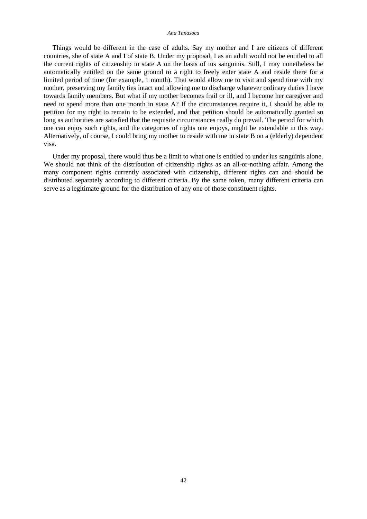#### *Ana Tanasoca*

Things would be different in the case of adults. Say my mother and I are citizens of different countries, she of state A and I of state B. Under my proposal, I as an adult would not be entitled to all the current rights of citizenship in state A on the basis of ius sanguinis. Still, I may nonetheless be automatically entitled on the same ground to a right to freely enter state A and reside there for a limited period of time (for example, 1 month). That would allow me to visit and spend time with my mother, preserving my family ties intact and allowing me to discharge whatever ordinary duties I have towards family members. But what if my mother becomes frail or ill, and I become her caregiver and need to spend more than one month in state A? If the circumstances require it, I should be able to petition for my right to remain to be extended, and that petition should be automatically granted so long as authorities are satisfied that the requisite circumstances really do prevail. The period for which one can enjoy such rights, and the categories of rights one enjoys, might be extendable in this way. Alternatively, of course, I could bring my mother to reside with me in state B on a (elderly) dependent visa.

Under my proposal, there would thus be a limit to what one is entitled to under ius sanguinis alone. We should not think of the distribution of citizenship rights as an all-or-nothing affair. Among the many component rights currently associated with citizenship, different rights can and should be distributed separately according to different criteria. By the same token, many different criteria can serve as a legitimate ground for the distribution of any one of those constituent rights.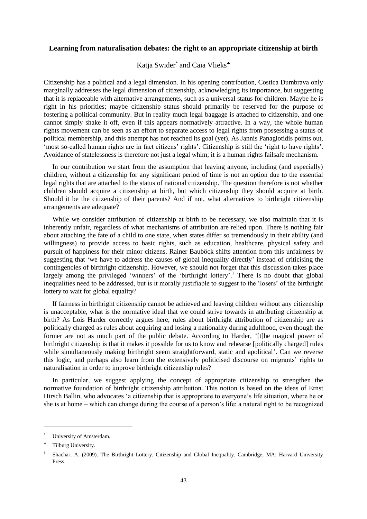# <span id="page-50-1"></span><span id="page-50-0"></span>**Learning from naturalisation debates: the right to an appropriate citizenship at birth**

[Katja Swider](http://eudo-citizenship.eu/about/people/other-eudo-citizenship-collaborators/1465-swider-katja)\* and [Caia Vlieks](http://eudo-citizenship.eu/about/people/other-eudo-citizenship-collaborators/1464-vlieks-caia)

Citizenship has a political and a legal dimension. In his opening contribution, Costica Dumbrava only marginally addresses the legal dimension of citizenship, acknowledging its importance, but suggesting that it is replaceable with alternative arrangements, such as a universal status for children. Maybe he is right in his priorities; maybe citizenship status should primarily be reserved for the purpose of fostering a political community. But in reality much legal baggage is attached to citizenship, and one cannot simply shake it off, even if this appears normatively attractive. In a way, the whole human rights movement can be seen as an effort to separate access to legal rights from possessing a status of political membership, and this attempt has not reached its goal (yet). As Jannis Panagiotidis points out, 'most so-called human rights are in fact citizens' rights'. Citizenship is still the 'right to have rights'. Avoidance of statelessness is therefore not just a legal whim; it is a human rights failsafe mechanism.

In our contribution we start from the assumption that leaving anyone, including (and especially) children, without a citizenship for any significant period of time is not an option due to the essential legal rights that are attached to the status of national citizenship. The question therefore is not whether children should acquire a citizenship at birth, but which citizenship they should acquire at birth. Should it be the citizenship of their parents? And if not, what alternatives to birthright citizenship arrangements are adequate?

While we consider attribution of citizenship at birth to be necessary, we also maintain that it is inherently unfair, regardless of what mechanisms of attribution are relied upon. There is nothing fair about attaching the fate of a child to one state, when states differ so tremendously in their ability (and willingness) to provide access to basic rights, such as education, healthcare, physical safety and pursuit of happiness for their minor citizens. Rainer Bauböck shifts attention from this unfairness by suggesting that 'we have to address the causes of global inequality directly' instead of criticising the contingencies of birthright citizenship. However, we should not forget that this discussion takes place largely among the privileged 'winners' of the 'birthright lottery'.<sup>1</sup> There is no doubt that global inequalities need to be addressed, but is it morally justifiable to suggest to the 'losers' of the birthright lottery to wait for global equality?

If fairness in birthright citizenship cannot be achieved and leaving children without any citizenship is unacceptable, what is the normative ideal that we could strive towards in attributing citizenship at birth? As Lois Harder correctly argues here, rules about birthright attribution of citizenship are as politically charged as rules about acquiring and losing a nationality during adulthood, even though the former are not as much part of the public debate. According to Harder, '[t]he magical power of birthright citizenship is that it makes it possible for us to know and rehearse [politically charged] rules while simultaneously making birthright seem straightforward, static and apolitical'. Can we reverse this logic, and perhaps also learn from the extensively politicised discourse on migrants' rights to naturalisation in order to improve birthright citizenship rules?

In particular, we suggest applying the concept of appropriate citizenship to strengthen the normative foundation of birthright citizenship attribution. This notion is based on the ideas of Ernst Hirsch Ballin, who advocates 'a citizenship that is appropriate to everyone's life situation, where he or she is at home – which can change during the course of a person's life: a natural right to be recognized

University of Amsterdam.

Tilburg University.

<sup>1</sup> Shachar, A. (2009). The Birthright Lottery. Citizenship and Global Inequality. Cambridge, MA: Harvard University Press.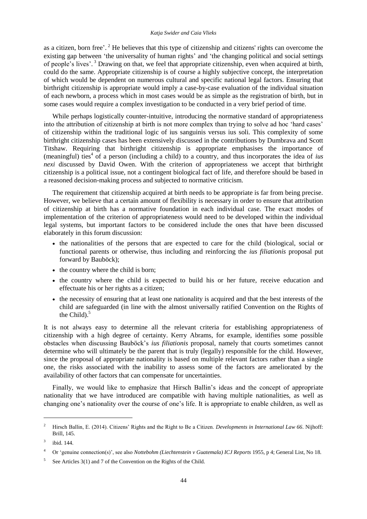#### *Katja Swider and Caia Vlieks*

as a citizen, born free'.<sup>2</sup> He believes that this type of citizenship and citizens' rights can overcome the existing gap between 'the universality of human rights' and 'the changing political and social settings of people's lives'.<sup>3</sup> Drawing on that, we feel that appropriate citizenship, even when acquired at birth, could do the same. Appropriate citizenship is of course a highly subjective concept, the interpretation of which would be dependent on numerous cultural and specific national legal factors. Ensuring that birthright citizenship is appropriate would imply a case-by-case evaluation of the individual situation of each newborn, a process which in most cases would be as simple as the registration of birth, but in some cases would require a complex investigation to be conducted in a very brief period of time.

While perhaps logistically counter-intuitive, introducing the normative standard of appropriateness into the attribution of citizenship at birth is not more complex than trying to solve ad hoc 'hard cases' of citizenship within the traditional logic of ius sanguinis versus ius soli. This complexity of some birthright citizenship cases has been extensively discussed in the contributions by Dumbrava and Scott Titshaw. Requiring that birthright citizenship is appropriate emphasises the importance of (meaningful) ties<sup>4</sup> of a person (including a child) to a country, and thus incorporates the idea of *ius nexi* discussed by David Owen. With the criterion of appropriateness we accept that birthright citizenship is a political issue, not a contingent biological fact of life, and therefore should be based in a reasoned decision-making process and subjected to normative criticism.

The requirement that citizenship acquired at birth needs to be appropriate is far from being precise. However, we believe that a certain amount of flexibility is necessary in order to ensure that attribution of citizenship at birth has a normative foundation in each individual case. The exact modes of implementation of the criterion of appropriateness would need to be developed within the individual legal systems, but important factors to be considered include the ones that have been discussed elaborately in this forum discussion:

- the nationalities of the persons that are expected to care for the child (biological, social or functional parents or otherwise, thus including and reinforcing the *ius filiationis* proposal put forward by Bauböck);
- the country where the child is born;
- the country where the child is expected to build his or her future, receive education and effectuate his or her rights as a citizen;
- the necessity of ensuring that at least one nationality is acquired and that the best interests of the child are safeguarded (in line with the almost universally ratified Convention on the Rights of the Child). 5

It is not always easy to determine all the relevant criteria for establishing appropriateness of citizenship with a high degree of certainty. Kerry Abrams, for example, identifies some possible obstacles when discussing Bauböck's *ius filiationis* proposal, namely that courts sometimes cannot determine who will ultimately be the parent that is truly (legally) responsible for the child. However, since the proposal of appropriate nationality is based on multiple relevant factors rather than a single one, the risks associated with the inability to assess some of the factors are ameliorated by the availability of other factors that can compensate for uncertainties.

Finally, we would like to emphasize that Hirsch Ballin's ideas and the concept of appropriate nationality that we have introduced are compatible with having multiple nationalities, as well as changing one's nationality over the course of one's life. It is appropriate to enable children, as well as

<sup>&</sup>lt;sup>2</sup> Hirsch Ballin, E. (2014). Citizens' Rights and the Right to Be a Citizen. *Developments in International Law 66*. Nijhoff: Brill, 145.

<sup>3</sup> ibid. 144.

<sup>4</sup> Or 'genuine connection(s)', see also *Nottebohm (Liechtenstein v Guatemala) ICJ Reports* 1955, p 4; General List, No 18.

<sup>5</sup> See Articles 3(1) and 7 of the Convention on the Rights of the Child.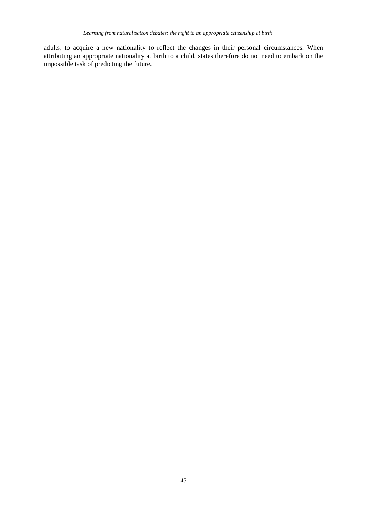adults, to acquire a new nationality to reflect the changes in their personal circumstances. When attributing an appropriate nationality at birth to a child, states therefore do not need to embark on the impossible task of predicting the future.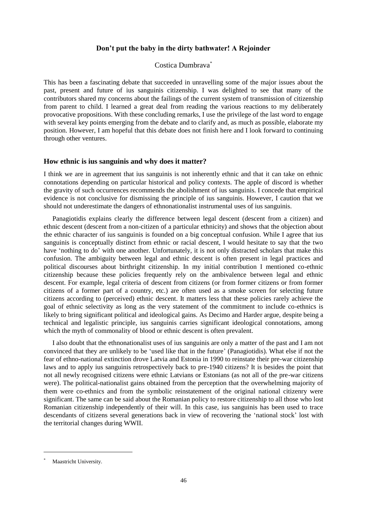#### **Don't put the baby in the dirty bathwater! A Rejoinder**

# [Costica Dumbrava](http://eudo-citizenship.eu/about/people/country-experts/573-dumbrava-costica)\*

<span id="page-53-1"></span><span id="page-53-0"></span>This has been a fascinating debate that succeeded in unravelling some of the major issues about the past, present and future of ius sanguinis citizenship. I was delighted to see that many of the contributors shared my concerns about the failings of the current system of transmission of citizenship from parent to child. I learned a great deal from reading the various reactions to my deliberately provocative propositions. With these concluding remarks, I use the privilege of the last word to engage with several key points emerging from the debate and to clarify and, as much as possible, elaborate my position. However, I am hopeful that this debate does not finish here and I look forward to continuing through other ventures.

#### **How ethnic is ius sanguinis and why does it matter?**

I think we are in agreement that ius sanguinis is not inherently ethnic and that it can take on ethnic connotations depending on particular historical and policy contexts. The apple of discord is whether the gravity of such occurrences recommends the abolishment of ius sanguinis. I concede that empirical evidence is not conclusive for dismissing the principle of ius sanguinis. However, I caution that we should not underestimate the dangers of ethnonationalist instrumental uses of ius sanguinis.

Panagiotidis explains clearly the difference between legal descent (descent from a citizen) and ethnic descent (descent from a non-citizen of a particular ethnicity) and shows that the objection about the ethnic character of ius sanguinis is founded on a big conceptual confusion. While I agree that ius sanguinis is conceptually distinct from ethnic or racial descent, I would hesitate to say that the two have 'nothing to do' with one another. Unfortunately, it is not only distracted scholars that make this confusion. The ambiguity between legal and ethnic descent is often present in legal practices and political discourses about birthright citizenship. In my initial contribution I mentioned co-ethnic citizenship because these policies frequently rely on the ambivalence between legal and ethnic descent. For example, legal criteria of descent from citizens (or from former citizens or from former citizens of a former part of a country, etc.) are often used as a smoke screen for selecting future citizens according to (perceived) ethnic descent. It matters less that these policies rarely achieve the goal of ethnic selectivity as long as the very statement of the commitment to include co-ethnics is likely to bring significant political and ideological gains. As Decimo and Harder argue, despite being a technical and legalistic principle, ius sanguinis carries significant ideological connotations, among which the myth of commonality of blood or ethnic descent is often prevalent.

I also doubt that the ethnonationalist uses of ius sanguinis are only a matter of the past and I am not convinced that they are unlikely to be 'used like that in the future' (Panagiotidis). What else if not the fear of ethno-national extinction drove Latvia and Estonia in 1990 to reinstate their pre-war citizenship laws and to apply ius sanguinis retrospectively back to pre-1940 citizens? It is besides the point that not all newly recognised citizens were ethnic Latvians or Estonians (as not all of the pre-war citizens were). The political-nationalist gains obtained from the perception that the overwhelming majority of them were co-ethnics and from the symbolic reinstatement of the original national citizenry were significant. The same can be said about the Romanian policy to restore citizenship to all those who lost Romanian citizenship independently of their will. In this case, ius sanguinis has been used to trace descendants of citizens several generations back in view of recovering the 'national stock' lost with the territorial changes during WWII.

Maastricht University.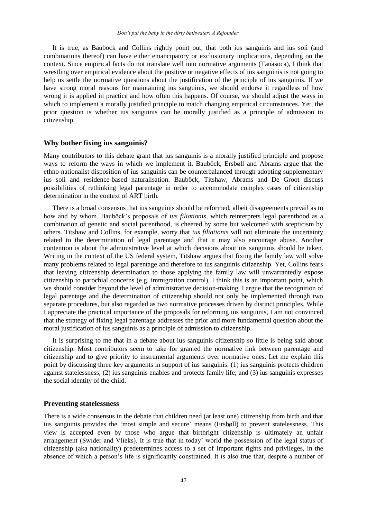It is true, as Bauböck and Collins rightly point out, that both ius sanguinis and ius soli (and combinations thereof) can have either emancipatory or exclusionary implications, depending on the context. Since empirical facts do not translate well into normative arguments (Tanasoca), I think that wrestling over empirical evidence about the positive or negative effects of ius sanguinis is not going to help us settle the normative questions about the justification of the principle of ius sanguinis. If we have strong moral reasons for maintaining ius sanguinis, we should endorse it regardless of how wrong it is applied in practice and how often this happens. Of course, we should adjust the ways in which to implement a morally justified principle to match changing empirical circumstances. Yet, the prior question is whether ius sanguinis can be morally justified as a principle of admission to citizenship.

#### **Why bother fixing ius sanguinis?**

Many contributors to this debate grant that ius sanguinis is a morally justified principle and propose ways to reform the ways in which we implement it. Bauböck, Ersbøll and Abrams argue that the ethno-nationalist disposition of ius sanguinis can be counterbalanced through adopting supplementary ius soli and residence-based naturalisation. Bauböck, Titshaw, Abrams and De Groot discuss possibilities of rethinking legal parentage in order to accommodate complex cases of citizenship determination in the context of ART birth.

There is a broad consensus that ius sanguinis should be reformed, albeit disagreements prevail as to how and by whom. Bauböck's proposals of *ius filiationis*, which reinterprets legal parenthood as a combination of genetic and social parenthood, is cheered by some but welcomed with scepticism by others. Titshaw and Collins, for example, worry that *ius filiationis* will not eliminate the uncertainty related to the determination of legal parentage and that it may also encourage abuse. Another contention is about the administrative level at which decisions about ius sanguinis should be taken. Writing in the context of the US federal system, Titshaw argues that fixing the family law will solve many problems related to legal parentage and therefore to ius sanguinis citizenship. Yet, Collins fears that leaving citizenship determination to those applying the family law will unwarrantedly expose citizenship to parochial concerns (e.g. immigration control). I think this is an important point, which we should consider beyond the level of administrative decision-making. I argue that the recognition of legal parentage and the determination of citizenship should not only be implemented through two separate procedures, but also regarded as two normative processes driven by distinct principles. While I appreciate the practical importance of the proposals for reforming ius sanguinis, I am not convinced that the strategy of fixing legal parentage addresses the prior and more fundamental question about the moral justification of ius sanguinis as a principle of admission to citizenship.

It is surprising to me that in a debate about ius sanguinis citizenship so little is being said about citizenship. Most contributors seem to take for granted the normative link between parentage and citizenship and to give priority to instrumental arguments over normative ones. Let me explain this point by discussing three key arguments in support of ius sanguinis: (1) ius sanguinis protects children against statelessness; (2) ius sanguinis enables and protects family life; and (3) ius sanguinis expresses the social identity of the child.

#### **Preventing statelessness**

There is a wide consensus in the debate that children need (at least one) citizenship from birth and that ius sanguinis provides the 'most simple and secure' means (Ersbøll) to prevent statelessness. This view is accepted even by those who argue that birthright citizenship is ultimately an unfair arrangement (Swider and Vlieks). It is true that in today' world the possession of the legal status of citizenship (aka nationality) predetermines access to a set of important rights and privileges, in the absence of which a person's life is significantly constrained. It is also true that, despite a number of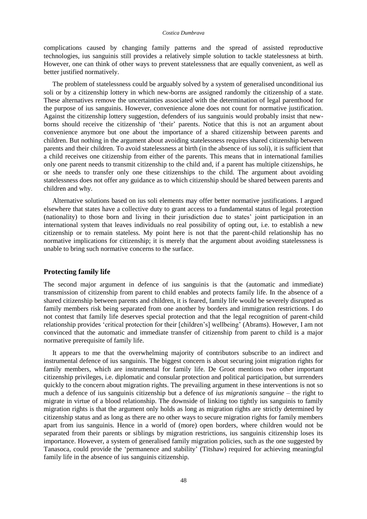complications caused by changing family patterns and the spread of assisted reproductive technologies, ius sanguinis still provides a relatively simple solution to tackle statelessness at birth. However, one can think of other ways to prevent statelessness that are equally convenient, as well as better justified normatively.

The problem of statelessness could be arguably solved by a system of generalised unconditional ius soli or by a citizenship lottery in which new-borns are assigned randomly the citizenship of a state. These alternatives remove the uncertainties associated with the determination of legal parenthood for the purpose of ius sanguinis. However, convenience alone does not count for normative justification. Against the citizenship lottery suggestion, defenders of ius sanguinis would probably insist that newborns should receive the citizenship of 'their' parents. Notice that this is not an argument about convenience anymore but one about the importance of a shared citizenship between parents and children. But nothing in the argument about avoiding statelessness requires shared citizenship between parents and their children. To avoid statelessness at birth (in the absence of ius soli), it is sufficient that a child receives one citizenship from either of the parents. This means that in international families only one parent needs to transmit citizenship to the child and, if a parent has multiple citizenships, he or she needs to transfer only one these citizenships to the child. The argument about avoiding statelessness does not offer any guidance as to which citizenship should be shared between parents and children and why.

Alternative solutions based on ius soli elements may offer better normative justifications. I argued elsewhere that states have a collective duty to grant access to a fundamental status of legal protection (nationality) to those born and living in their jurisdiction due to states' joint participation in an international system that leaves individuals no real possibility of opting out, i.e. to establish a new citizenship or to remain stateless. My point here is not that the parent-child relationship has no normative implications for citizenship; it is merely that the argument about avoiding statelessness is unable to bring such normative concerns to the surface.

#### **Protecting family life**

The second major argument in defence of ius sanguinis is that the (automatic and immediate) transmission of citizenship from parent to child enables and protects family life. In the absence of a shared citizenship between parents and children, it is feared, family life would be severely disrupted as family members risk being separated from one another by borders and immigration restrictions. I do not contest that family life deserves special protection and that the legal recognition of parent-child relationship provides 'critical protection for their [children's] wellbeing' (Abrams). However, I am not convinced that the automatic and immediate transfer of citizenship from parent to child is a major normative prerequisite of family life.

It appears to me that the overwhelming majority of contributors subscribe to an indirect and instrumental defence of ius sanguinis. The biggest concern is about securing joint migration rights for family members, which are instrumental for family life. De Groot mentions two other important citizenship privileges, i.e. diplomatic and consular protection and political participation, but surrenders quickly to the concern about migration rights. The prevailing argument in these interventions is not so much a defence of ius sanguinis citizenship but a defence of *ius migrationis sanguine* – the right to migrate in virtue of a blood relationship. The downside of linking too tightly ius sanguinis to family migration rights is that the argument only holds as long as migration rights are strictly determined by citizenship status and as long as there are no other ways to secure migration rights for family members apart from ius sanguinis. Hence in a world of (more) open borders, where children would not be separated from their parents or siblings by migration restrictions, ius sanguinis citizenship loses its importance. However, a system of generalised family migration policies, such as the one suggested by Tanasoca, could provide the 'permanence and stability' (Titshaw) required for achieving meaningful family life in the absence of ius sanguinis citizenship.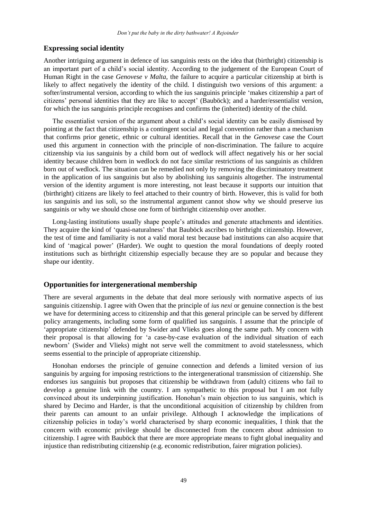#### **Expressing social identity**

Another intriguing argument in defence of ius sanguinis rests on the idea that (birthright) citizenship is an important part of a child's social identity. According to the judgement of the European Court of Human Right in the case *Genovese v Malta*, the failure to acquire a particular citizenship at birth is likely to affect negatively the identity of the child. I distinguish two versions of this argument: a softer/instrumental version, according to which the ius sanguinis principle 'makes citizenship a part of citizens' personal identities that they are like to accept' (Bauböck); and a harder/essentialist version, for which the ius sanguinis principle recognises and confirms the (inherited) identity of the child.

The essentialist version of the argument about a child's social identity can be easily dismissed by pointing at the fact that citizenship is a contingent social and legal convention rather than a mechanism that confirms prior genetic, ethnic or cultural identities. Recall that in the *Genovese* case the Court used this argument in connection with the principle of non-discrimination. The failure to acquire citizenship via ius sanguinis by a child born out of wedlock will affect negatively his or her social identity because children born in wedlock do not face similar restrictions of ius sanguinis as children born out of wedlock. The situation can be remedied not only by removing the discriminatory treatment in the application of ius sanguinis but also by abolishing ius sanguinis altogether. The instrumental version of the identity argument is more interesting, not least because it supports our intuition that (birthright) citizens are likely to feel attached to their country of birth. However, this is valid for both ius sanguinis and ius soli, so the instrumental argument cannot show why we should preserve ius sanguinis or why we should chose one form of birthright citizenship over another.

Long-lasting institutions usually shape people's attitudes and generate attachments and identities. They acquire the kind of 'quasi-naturalness' that Bauböck ascribes to birthright citizenship. However, the test of time and familiarity is not a valid moral test because bad institutions can also acquire that kind of 'magical power' (Harder). We ought to question the moral foundations of deeply rooted institutions such as birthright citizenship especially because they are so popular and because they shape our identity.

#### **Opportunities for intergenerational membership**

There are several arguments in the debate that deal more seriously with normative aspects of ius sanguinis citizenship. I agree with Owen that the principle of *ius nexi* or genuine connection is the best we have for determining access to citizenship and that this general principle can be served by different policy arrangements, including some form of qualified ius sanguinis. I assume that the principle of 'appropriate citizenship' defended by Swider and Vlieks goes along the same path. My concern with their proposal is that allowing for 'a case-by-case evaluation of the individual situation of each newborn' (Swider and Vlieks) might not serve well the commitment to avoid statelessness, which seems essential to the principle of appropriate citizenship.

Honohan endorses the principle of genuine connection and defends a limited version of ius sanguinis by arguing for imposing restrictions to the intergenerational transmission of citizenship. She endorses ius sanguinis but proposes that citizenship be withdrawn from (adult) citizens who fail to develop a genuine link with the country. I am sympathetic to this proposal but I am not fully convinced about its underpinning justification. Honohan's main objection to ius sanguinis, which is shared by Decimo and Harder, is that the unconditional acquisition of citizenship by children from their parents can amount to an unfair privilege. Although I acknowledge the implications of citizenship policies in today's world characterised by sharp economic inequalities, I think that the concern with economic privilege should be disconnected from the concern about admission to citizenship. I agree with Bauböck that there are more appropriate means to fight global inequality and injustice than redistributing citizenship (e.g. economic redistribution, fairer migration policies).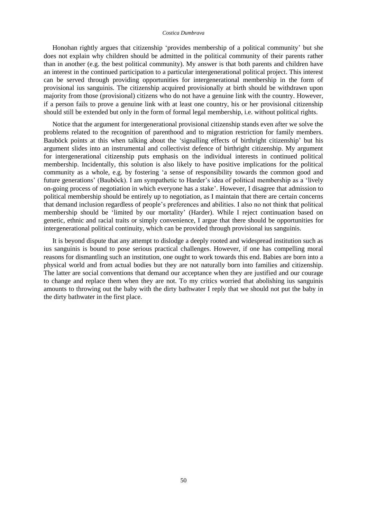#### *Costica Dumbrava*

Honohan rightly argues that citizenship 'provides membership of a political community' but she does not explain why children should be admitted in the political community of their parents rather than in another (e.g. the best political community). My answer is that both parents and children have an interest in the continued participation to a particular intergenerational political project. This interest can be served through providing opportunities for intergenerational membership in the form of provisional ius sanguinis. The citizenship acquired provisionally at birth should be withdrawn upon majority from those (provisional) citizens who do not have a genuine link with the country. However, if a person fails to prove a genuine link with at least one country, his or her provisional citizenship should still be extended but only in the form of formal legal membership, i.e. without political rights.

Notice that the argument for intergenerational provisional citizenship stands even after we solve the problems related to the recognition of parenthood and to migration restriction for family members. Bauböck points at this when talking about the 'signalling effects of birthright citizenship' but his argument slides into an instrumental and collectivist defence of birthright citizenship. My argument for intergenerational citizenship puts emphasis on the individual interests in continued political membership. Incidentally, this solution is also likely to have positive implications for the political community as a whole, e.g. by fostering 'a sense of responsibility towards the common good and future generations' (Bauböck). I am sympathetic to Harder's idea of political membership as a 'lively on-going process of negotiation in which everyone has a stake'. However, I disagree that admission to political membership should be entirely up to negotiation, as I maintain that there are certain concerns that demand inclusion regardless of people's preferences and abilities. I also no not think that political membership should be 'limited by our mortality' (Harder). While I reject continuation based on genetic, ethnic and racial traits or simply convenience, I argue that there should be opportunities for intergenerational political continuity, which can be provided through provisional ius sanguinis.

It is beyond dispute that any attempt to dislodge a deeply rooted and widespread institution such as ius sanguinis is bound to pose serious practical challenges. However, if one has compelling moral reasons for dismantling such an institution, one ought to work towards this end. Babies are born into a physical world and from actual bodies but they are not naturally born into families and citizenship. The latter are social conventions that demand our acceptance when they are justified and our courage to change and replace them when they are not. To my critics worried that abolishing ius sanguinis amounts to throwing out the baby with the dirty bathwater I reply that we should not put the baby in the dirty bathwater in the first place.